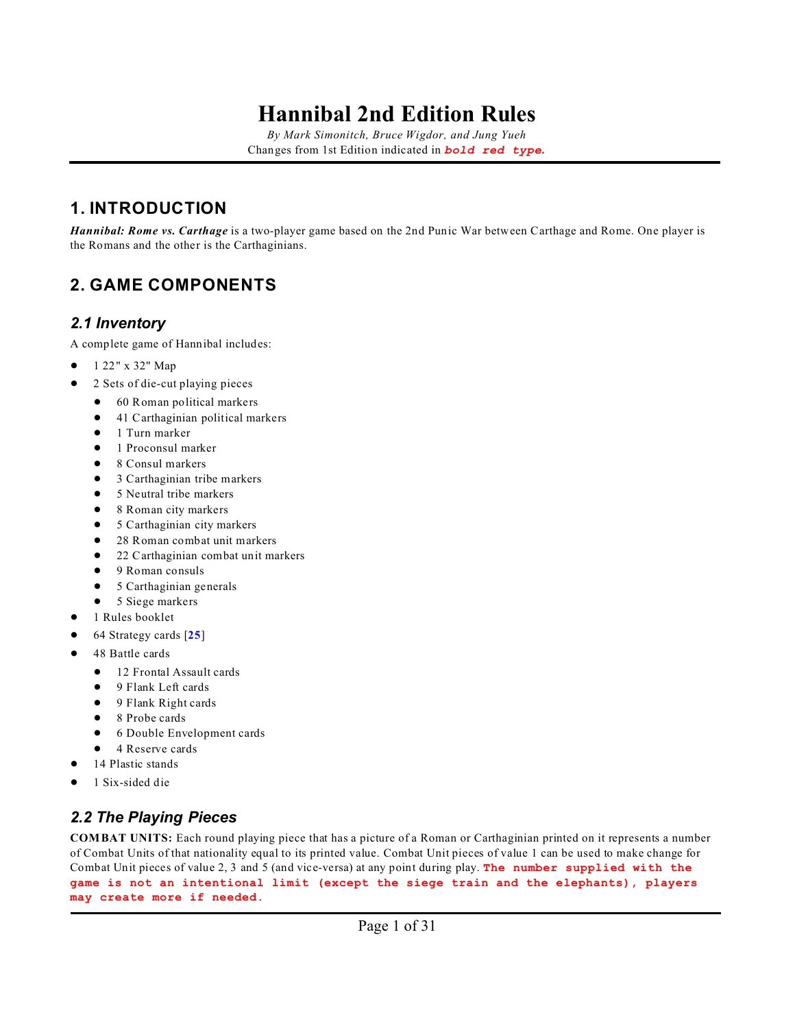*By Mark Simonitch, Bruce Wigdor, and Jung Yueh* Changes from 1st Edition indicated in *bold red type***.**

### **1. INTRODUCTION**

*Hannibal: Rome vs. Carthage* is a two-player game based on the 2nd Punic War between Carthage and Rome. One player is the Romans and the other is the Carthaginians.

### **2. GAME COMPONENTS**

#### <span id="page-0-0"></span>*2.1 Inventory*

A complete game of Hannibal includes:

- $\bullet$  1 22" x 32" Map
- ! 2 Sets of die-cut playing pieces
	- 60 Roman political markers
	- 41 Carthaginian political markers
	- $\bullet$  1 Turn marker
	- **.** 1 Proconsul marker
	- 8 Consul markers
	- 3 Carthaginian tribe markers
	- 5 Neutral tribe markers
	- 8 Roman city markers
	- 5 Carthaginian city markers
	- 28 Roman combat unit markers
	- 22 Carthaginian combat unit markers
	- 9 Roman consuls
	- 5 Carthaginian generals
	- $\bullet$  5 Siege markers
- ! 1 Rules booklet
- ! 64 Strategy cards [**[25](#page-27-0)**]
- 48 Battle cards
	- $\bullet$  12 Frontal Assault cards
	- 9 Flank Left cards
	- 9 Flank Right cards
	- $\bullet$  8 Probe cards
	- 6 Double Envelopment cards
	- 4 Reserve cards
- 14 Plastic stands
- ! 1 Six-sided die

### *2.2 The Playing Pieces*

**COMBAT UNITS:** Each round playing piece that has a picture of a Roman or Carthaginian printed on it represents a number of Combat Units of that nationality equal to its printed value. Combat Unit pieces of value 1 can be used to make change for Combat Unit pieces of value 2, 3 and 5 (and vice-versa) at any point during play. **The number supplied with the game is not an intentional limit (except the siege train and the elephants), players may create more if needed.**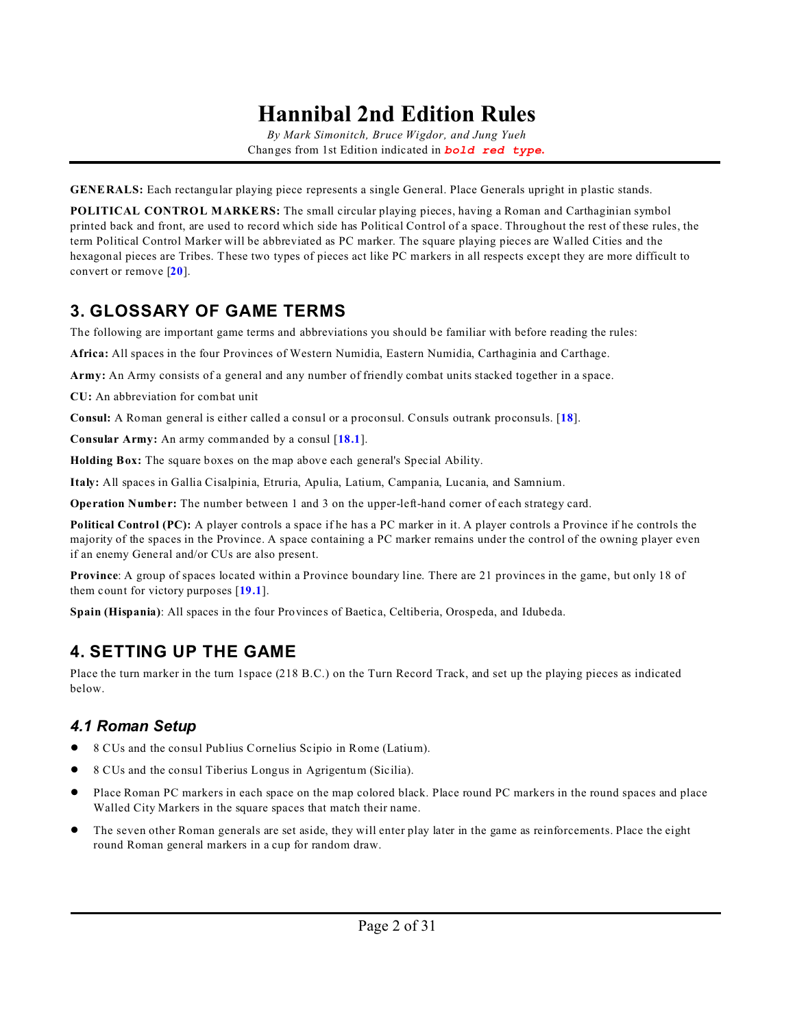*By Mark Simonitch, Bruce Wigdor, and Jung Yueh* Changes from 1st Edition indicated in *bold red type***.**

**GENERALS:** Each rectangular playing piece represents a single General. Place Generals upright in plastic stands.

**POLITICAL CONTROL MARKERS:** The small circular playing pieces, having a Roman and Carthaginian symbol printed back and front, are used to record which side has Political Control of a space. Throughout the rest of these rules, the term Political Control Marker will be abbreviated as PC marker. The square playing pieces are Walled Cities and the hexagonal pieces are Tribes. These two types of pieces act like PC markers in all respects except they are more difficult to convert or remove [**[20](#page-23-0)**].

### **3. GLOSSARY OF GAME TERMS**

The following are important game terms and abbreviations you should be familiar with before reading the rules:

**Africa:** All spaces in the four Provinces of Western Numidia, Eastern Numidia, Carthaginia and Carthage.

**Army:** An Army consists of a general and any number of friendly combat units stacked together in a space.

**CU:** An abbreviation for combat unit

**Consul:** A Roman general is either called a consul or a proconsul. Consuls outrank proconsuls. [**[18](#page-21-0)**].

**Consular Army:** An army commanded by a consul [**[18.1](#page-21-1)**].

**Holding Box:** The square boxes on the map above each general's Special Ability.

**Italy:** All spaces in Gallia Cisalpinia, Etruria, Apulia, Latium, Campania, Lucania, and Samnium.

**Operation Number:** The number between 1 and 3 on the upper-left-hand corner of each strategy card.

**Political Control (PC):** A player controls a space if he has a PC marker in it. A player controls a Province if he controls the majority of the spaces in the Province. A space containing a PC marker remains under the control of the owning player even if an enemy General and/or CUs are also present.

**Province**: A group of spaces located within a Province boundary line. There are 21 provinces in the game, but only 18 of them count for victory purposes [**[19.1](#page-22-0)**].

**Spain (Hispania)**: All spaces in the four Provinces of Baetica, Celtiberia, Orospeda, and Idubeda.

### **4. SETTING UP THE GAME**

Place the turn marker in the turn 1space (218 B.C.) on the Turn Record Track, and set up the playing pieces as indicated below.

### *4.1 Roman Setup*

- ! 8 CUs and the consul Publius Cornelius Scipio in Rome (Latium).
- ! 8 CUs and the consul Tiberius Longus in Agrigentum (Sicilia).
- ! Place Roman PC markers in each space on the map colored black. Place round PC markers in the round spaces and place Walled City Markers in the square spaces that match their name.
- ! The seven other Roman generals are set aside, they will enter play later in the game as reinforcements. Place the eight round Roman general markers in a cup for random draw.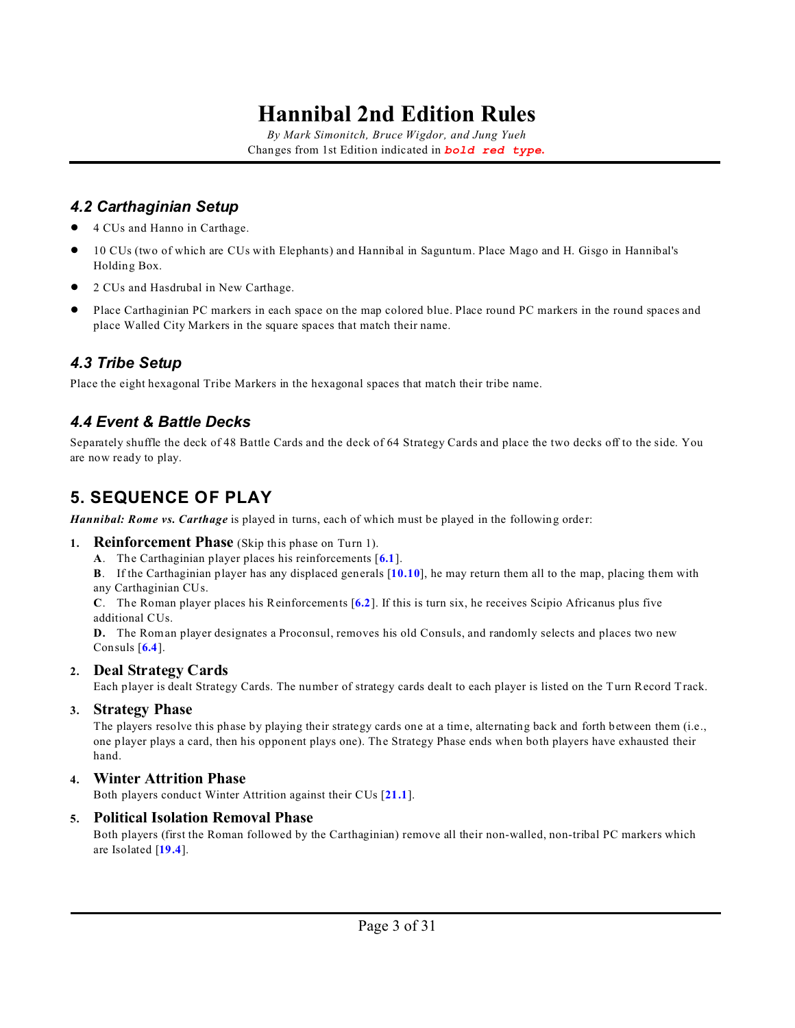*By Mark Simonitch, Bruce Wigdor, and Jung Yueh* Changes from 1st Edition indicated in *bold red type***.**

### *4.2 Carthaginian Setup*

- ! 4 CUs and Hanno in Carthage.
- ! 10 CUs (two of which are CUs with Elephants) and Hannibal in Saguntum. Place Mago and H. Gisgo in Hannibal's Holding Box.
- ! 2 CUs and Hasdrubal in New Carthage.
- ! Place Carthaginian PC markers in each space on the map colored blue. Place round PC markers in the round spaces and place Walled City Markers in the square spaces that match their name.

### *4.3 Tribe Setup*

Place the eight hexagonal Tribe Markers in the hexagonal spaces that match their tribe name.

### *4.4 Event & Battle Decks*

Separately shuffle the deck of 48 Battle Cards and the deck of 64 Strategy Cards and place the two decks off to the side. You are now ready to play.

### <span id="page-2-0"></span>**5. SEQUENCE OF PLAY**

*Hannibal: Rome vs. Carthage* is played in turns, each of which must be played in the following order:

#### **1. Reinforcement Phase** (Skip this phase on Turn 1).

**A**. The Carthaginian player places his reinforcements [**[6.1](#page-3-0)**].

**B**. If the Carthaginian player has any displaced generals [**[10.10](#page-9-0)**], he may return them all to the map, placing them with any Carthaginian CUs.

**C**. The Roman player places his Reinforcements [**[6.2](#page-3-1)**]. If this is turn six, he receives Scipio Africanus plus five additional CUs.

**D.** The Roman player designates a Proconsul, removes his old Consuls, and randomly selects and places two new Consuls [**[6.4](#page-4-0)**].

#### **2. Deal Strategy Cards**

Each player is dealt Strategy Cards. The number of strategy cards dealt to each player is listed on the Turn Record Track.

#### **3. Strategy Phase**

The players resolve this phase by playing their strategy cards one at a time, alternating back and forth between them (i.e., one player plays a card, then his opponent plays one). The Strategy Phase ends when both players have exhausted their hand.

#### **4. Winter Attrition Phase**

Both players conduct Winter Attrition against their CUs [**[21.1](#page-25-0)**].

#### **5. Political Isolation Removal Phase**

Both players (first the Roman followed by the Carthaginian) remove all their non-walled, non-tribal PC markers which are Isolated [**[19.4](#page-22-1)**].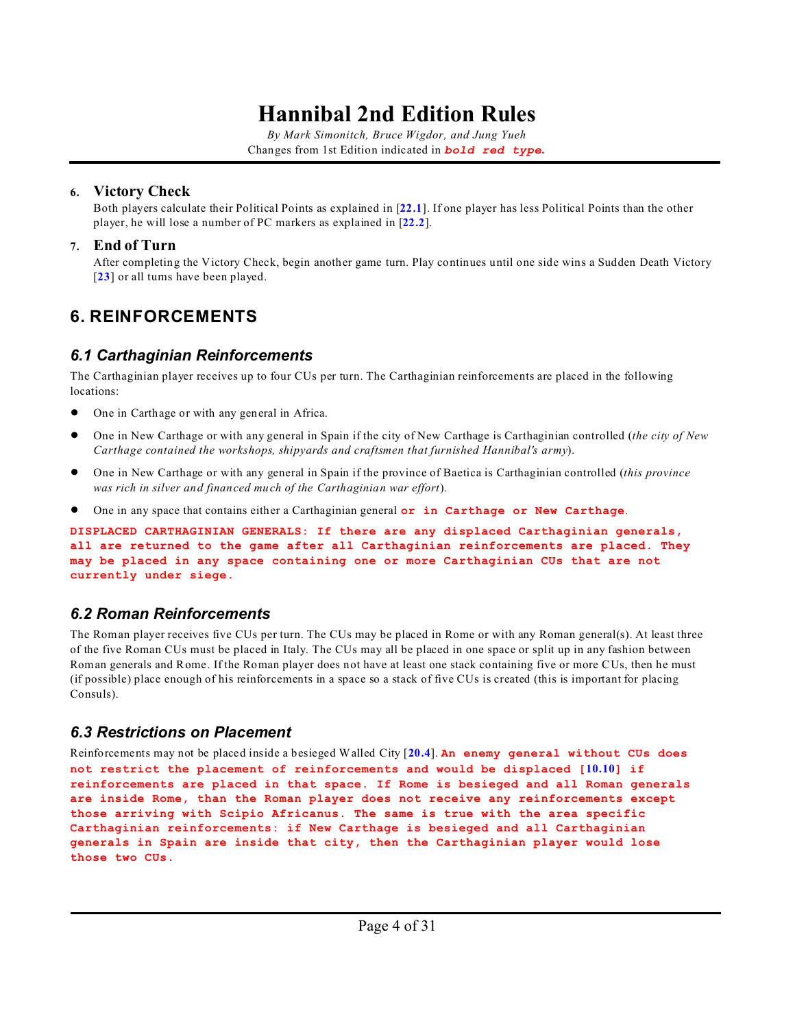*By Mark Simonitch, Bruce Wigdor, and Jung Yueh* Changes from 1st Edition indicated in *bold red type***.**

#### **6. Victory Check**

Both players calculate their Political Points as explained in [**[22.1](#page-25-1)**]. If one player has less Political Points than the other player, he will lose a number of PC markers as explained in [**[22.2](#page-25-2)**].

#### **7. End of Turn**

After completing the Victory Check, begin another game turn. Play continues until one side wins a Sudden Death Victory [[23](#page-26-0)] or all turns have been played.

## **6. REINFORCEMENTS**

### <span id="page-3-0"></span>*6.1 Carthaginian Reinforcements*

The Carthaginian player receives up to four CUs per turn. The Carthaginian reinforcements are placed in the following locations:

- ! One in Carthage or with any general in Africa.
- ! One in New Carthage or with any general in Spain if the city of New Carthage is Carthaginian controlled (*the city of New Carthage contained the workshops, shipyards and craftsmen that furnished Hannibal's army*).
- ! One in New Carthage or with any general in Spain if the province of Baetica is Carthaginian controlled (*this province was rich in silver and financed much of the Carthaginian war effort*).
- ! One in any space that contains either a Carthaginian general **or in Carthage or New Carthage**.

**DISPLACED CARTHAGINIAN GENERALS: If there are any displaced Carthaginian generals, all are returned to the game after all Carthaginian reinforcements are placed. They may be placed in any space containing one or more Carthaginian CUs that are not currently under siege.**

### <span id="page-3-1"></span>*6.2 Roman Reinforcements*

The Roman player receives five CUs per turn. The CUs may be placed in Rome or with any Roman general(s). At least three of the five Roman CUs must be placed in Italy. The CUs may all be placed in one space or split up in any fashion between Roman generals and Rome. If the Roman player does not have at least one stack containing five or more CUs, then he must (if possible) place enough of his reinforcements in a space so a stack of five CUs is created (this is important for placing Consuls).

### *6.3 Restrictions on Placement*

Reinforcements may not be placed inside a besieged Walled City [**[20.4](#page-23-1)**]. **An enemy general without CUs does not restrict the placement of reinforcements and would be displaced [[10.10](#page-9-0)] if reinforcements are placed in that space. If Rome is besieged and all Roman generals are inside Rome, than the Roman player does not receive any reinforcements except those arriving with Scipio Africanus. The same is true with the area specific Carthaginian reinforcements: if New Carthage is besieged and all Carthaginian generals in Spain are inside that city, then the Carthaginian player would lose those two CUs.**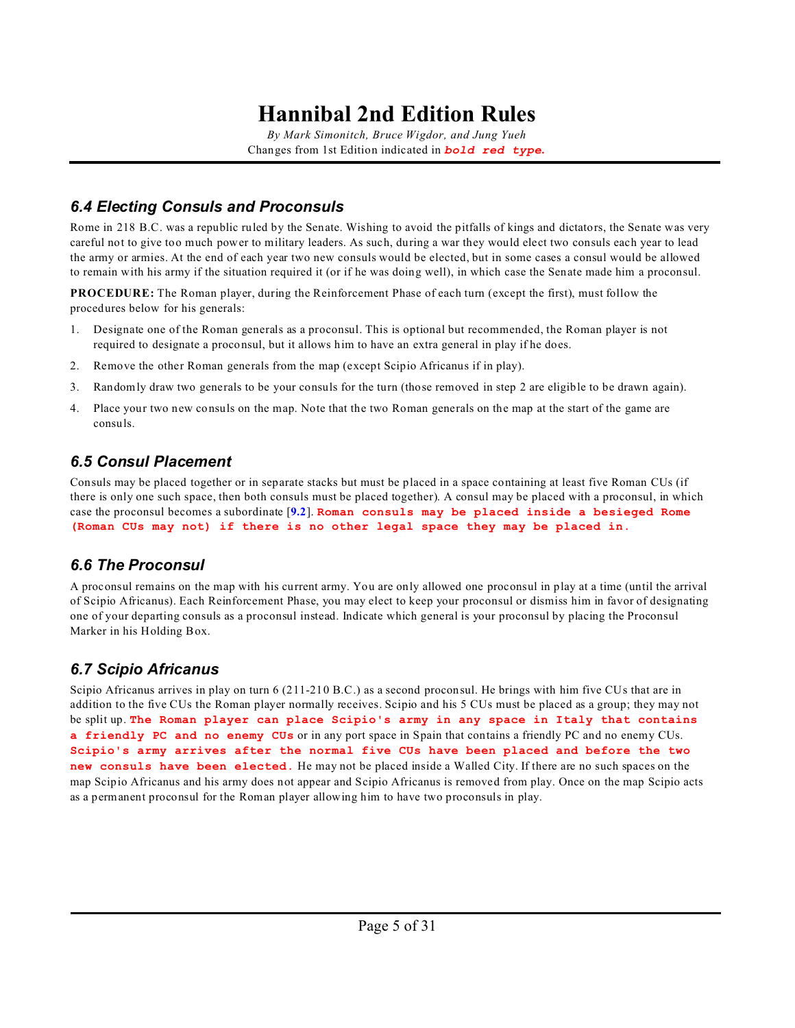*By Mark Simonitch, Bruce Wigdor, and Jung Yueh* Changes from 1st Edition indicated in *bold red type***.**

### <span id="page-4-0"></span>*6.4 Electing Consuls and Proconsuls*

Rome in 218 B.C. was a republic ruled by the Senate. Wishing to avoid the pitfalls of kings and dictators, the Senate was very careful not to give too much power to military leaders. As such, during a war they would elect two consuls each year to lead the army or armies. At the end of each year two new consuls would be elected, but in some cases a consul would be allowed to remain with his army if the situation required it (or if he was doing well), in which case the Senate made him a proconsul.

**PROCEDURE:** The Roman player, during the Reinforcement Phase of each turn (except the first), must follow the procedures below for his generals:

- 1. Designate one of the Roman generals as a proconsul. This is optional but recommended, the Roman player is not required to designate a proconsul, but it allows him to have an extra general in play if he does.
- 2. Remove the other Roman generals from the map (except Scipio Africanus if in play).
- 3. Randomly draw two generals to be your consuls for the turn (those removed in step 2 are eligible to be drawn again).
- 4. Place your two new consuls on the map. Note that the two Roman generals on the map at the start of the game are consuls.

### *6.5 Consul Placement*

Consuls may be placed together or in separate stacks but must be placed in a space containing at least five Roman CUs (if there is only one such space, then both consuls must be placed together). A consul may be placed with a proconsul, in which case the proconsul becomes a subordinate [**[9.2](#page-7-0)**]. **Roman consuls may be placed inside a besieged Rome (Roman CUs may not) if there is no other legal space they may be placed in.**

### *6.6 The Proconsul*

A proconsul remains on the map with his current army. You are only allowed one proconsul in play at a time (until the arrival of Scipio Africanus). Each Reinforcement Phase, you may elect to keep your proconsul or dismiss him in favor of designating one of your departing consuls as a proconsul instead. Indicate which general is your proconsul by placing the Proconsul Marker in his Holding Box.

### *6.7 Scipio Africanus*

Scipio Africanus arrives in play on turn 6 (211-210 B.C.) as a second proconsul. He brings with him five CUs that are in addition to the five CUs the Roman player normally receives. Scipio and his 5 CUs must be placed as a group; they may not be split up. **The Roman player can place Scipio's army in any space in Italy that contains a friendly PC and no enemy CUs** or in any port space in Spain that contains a friendly PC and no enemy CUs. **Scipio's army arrives after the normal five CUs have been placed and before the two new consuls have been elected**. He may not be placed inside a Walled City. If there are no such spaces on the map Scipio Africanus and his army does not appear and Scipio Africanus is removed from play. Once on the map Scipio acts as a permanent proconsul for the Roman player allowing him to have two proconsuls in play.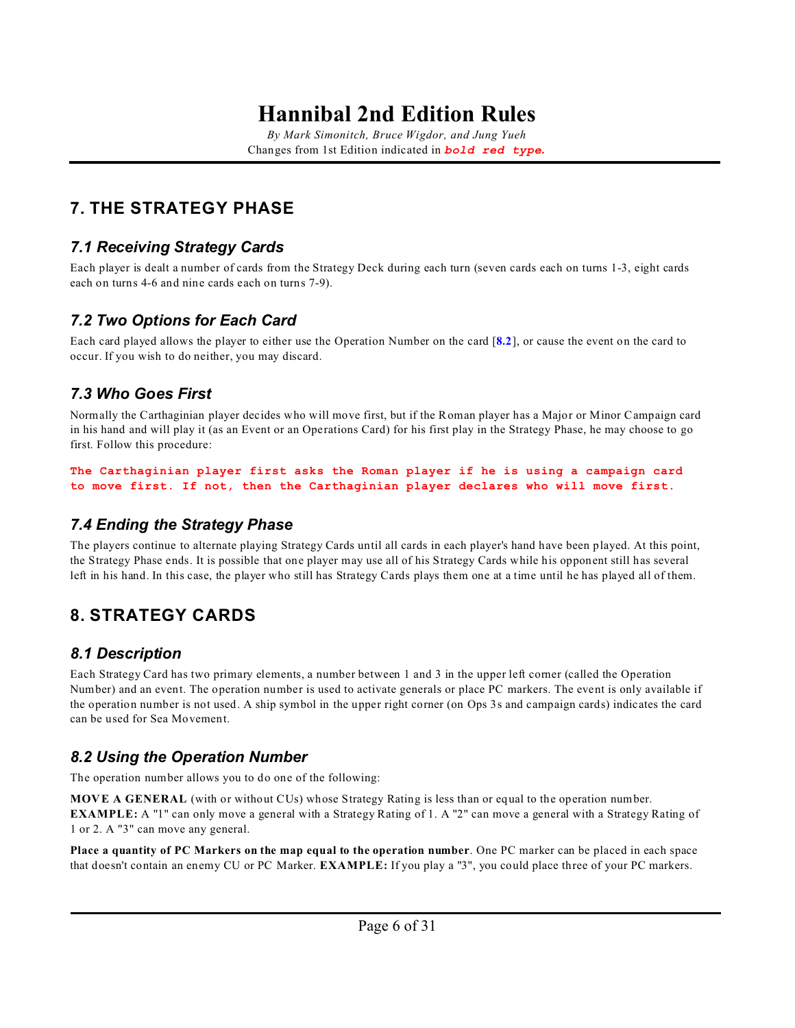*By Mark Simonitch, Bruce Wigdor, and Jung Yueh* Changes from 1st Edition indicated in *bold red type***.**

## **7. THE STRATEGY PHASE**

### *7.1 Receiving Strategy Cards*

Each player is dealt a number of cards from the Strategy Deck during each turn (seven cards each on turns 1-3, eight cards each on turns 4-6 and nine cards each on turns 7-9).

### *7.2 Two Options for Each Card*

Each card played allows the player to either use the Operation Number on the card [**[8.2](#page-5-0)**], or cause the event on the card to occur. If you wish to do neither, you may discard.

### *7.3 Who Goes First*

Normally the Carthaginian player decides who will move first, but if the Roman player has a Major or Minor Campaign card in his hand and will play it (as an Event or an Operations Card) for his first play in the Strategy Phase, he may choose to go first. Follow this procedure:

**The Carthaginian player first asks the Roman player if he is using a campaign card to move first. If not, then the Carthaginian player declares who will move first.**

### *7.4 Ending the Strategy Phase*

The players continue to alternate playing Strategy Cards until all cards in each player's hand have been played. At this point, the Strategy Phase ends. It is possible that one player may use all of his Strategy Cards while his opponent still has several left in his hand. In this case, the player who still has Strategy Cards plays them one at a time until he has played all of them.

## **8. STRATEGY CARDS**

### *8.1 Description*

Each Strategy Card has two primary elements, a number between 1 and 3 in the upper left corner (called the Operation Number) and an event. The operation number is used to activate generals or place PC markers. The event is only available if the operation number is not used. A ship symbol in the upper right corner (on Ops 3s and campaign cards) indicates the card can be used for Sea Movement.

### <span id="page-5-0"></span>*8.2 Using the Operation Number*

The operation number allows you to do one of the following:

**MOVE A GENERAL** (with or without CUs) whose Strategy Rating is less than or equal to the operation number. **EXAMPLE:** A "1" can only move a general with a Strategy Rating of 1. A "2" can move a general with a Strategy Rating of 1 or 2. A "3" can move any general.

**Place a quantity of PC Markers on the map equal to the operation number**. One PC marker can be placed in each space that doesn't contain an enemy CU or PC Marker. **EXAMPLE:** If you play a "3", you could place three of your PC markers.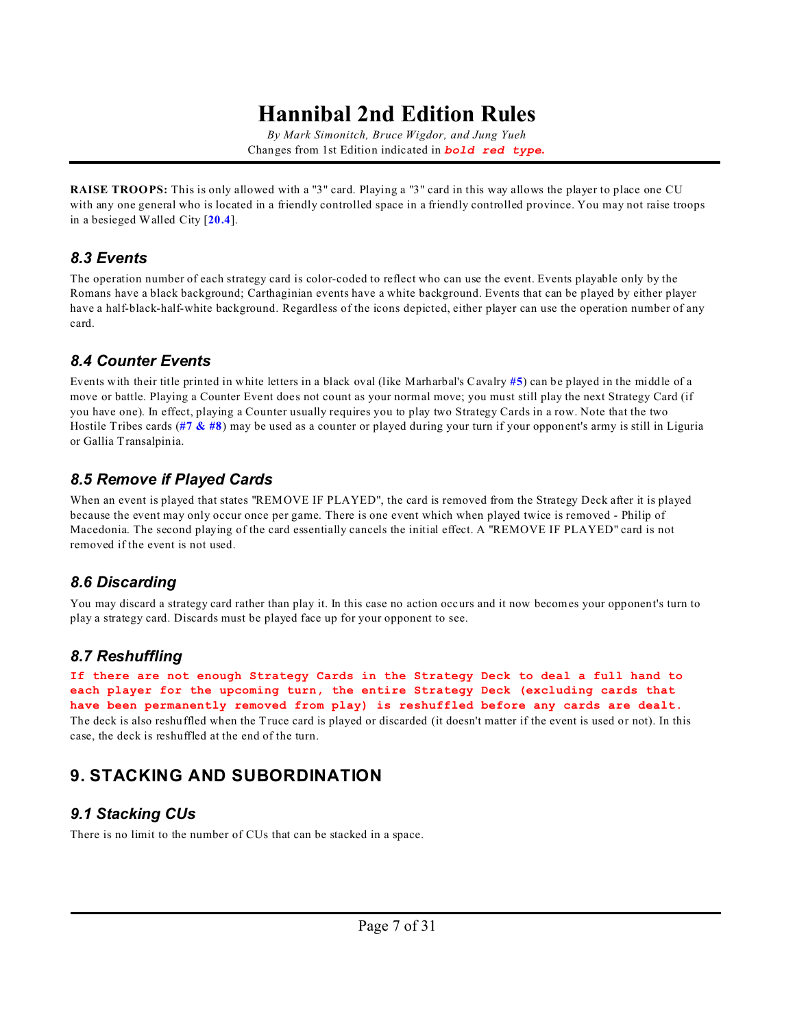*By Mark Simonitch, Bruce Wigdor, and Jung Yueh* Changes from 1st Edition indicated in *bold red type***.**

**RAISE TROOPS:** This is only allowed with a "3" card. Playing a "3" card in this way allows the player to place one CU with any one general who is located in a friendly controlled space in a friendly controlled province. You may not raise troops in a besieged Walled City [**[20.4](#page-23-1)**].

### *8.3 Events*

The operation number of each strategy card is color-coded to reflect who can use the event. Events playable only by the Romans have a black background; Carthaginian events have a white background. Events that can be played by either player have a half-black-half-white background. Regardless of the icons depicted, either player can use the operation number of any card.

### *8.4 Counter Events*

Events with their title printed in white letters in a black oval (like Marharbal's Cavalry **[#5](#page-27-1)**) can be played in the middle of a move or battle. Playing a Counter Event does not count as your normal move; you must still play the next Strategy Card (if you have one). In effect, playing a Counter usually requires you to play two Strategy Cards in a row. Note that the two Hostile Tribes cards (**[#7 & #8](#page-27-2)**) may be used as a counter or played during your turn if your opponent's army is still in Liguria or Gallia Transalpinia.

### *8.5 Remove if Played Cards*

When an event is played that states "REMOVE IF PLAYED", the card is removed from the Strategy Deck after it is played because the event may only occur once per game. There is one event which when played twice is removed - Philip of Macedonia. The second playing of the card essentially cancels the initial effect. A "REMOVE IF PLAYED" card is not removed if the event is not used.

### *8.6 Discarding*

You may discard a strategy card rather than play it. In this case no action occurs and it now becomes your opponent's turn to play a strategy card. Discards must be played face up for your opponent to see.

### *8.7 Reshuffling*

**If there are not enough Strategy Cards in the Strategy Deck to deal a full hand to each player for the upcoming turn, the entire Strategy Deck (excluding cards that have been permanently removed from play) is reshuffled before any cards are dealt.** The deck is also reshuffled when the Truce card is played or discarded (it doesn't matter if the event is used or not). In this case, the deck is reshuffled at the end of the turn.

## **9. STACKING AND SUBORDINATION**

### *9.1 Stacking CUs*

There is no limit to the number of CUs that can be stacked in a space.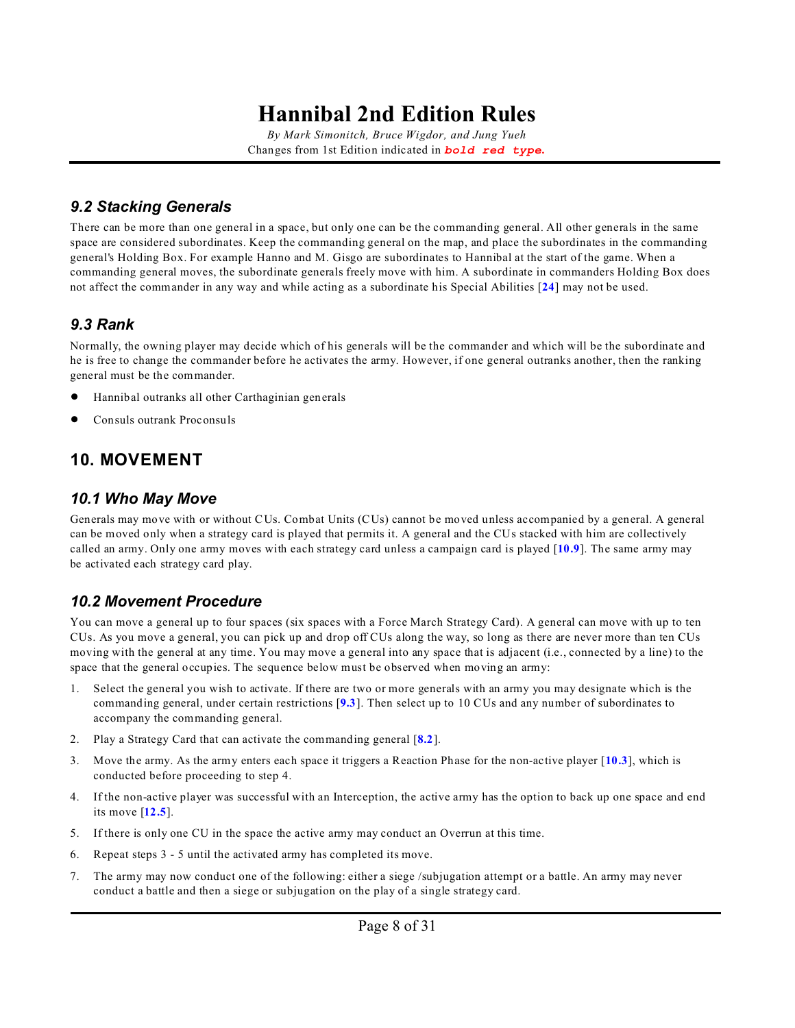*By Mark Simonitch, Bruce Wigdor, and Jung Yueh* Changes from 1st Edition indicated in *bold red type***.**

### <span id="page-7-0"></span>*9.2 Stacking Generals*

There can be more than one general in a space, but only one can be the commanding general. All other generals in the same space are considered subordinates. Keep the commanding general on the map, and place the subordinates in the commanding general's Holding Box. For example Hanno and M. Gisgo are subordinates to Hannibal at the start of the game. When a commanding general moves, the subordinate generals freely move with him. A subordinate in commanders Holding Box does not affect the commander in any way and while acting as a subordinate his Special Abilities [**[24](#page-26-1)**] may not be used.

#### <span id="page-7-1"></span>*9.3 Rank*

Normally, the owning player may decide which of his generals will be the commander and which will be the subordinate and he is free to change the commander before he activates the army. However, if one general outranks another, then the ranking general must be the commander.

- ! Hannibal outranks all other Carthaginian generals
- Consuls outrank Proconsuls

### **10. MOVEMENT**

#### *10.1 Who May Move*

Generals may move with or without CUs. Combat Units (CUs) cannot be moved unless accompanied by a general. A general can be moved only when a strategy card is played that permits it. A general and the CUs stacked with him are collectively called an army. Only one army moves with each strategy card unless a campaign card is played [**[10.9](#page-9-1)**]. The same army may be activated each strategy card play.

#### <span id="page-7-2"></span>*10.2 Movement Procedure*

You can move a general up to four spaces (six spaces with a Force March Strategy Card). A general can move with up to ten CUs. As you move a general, you can pick up and drop off CUs along the way, so long as there are never more than ten CUs moving with the general at any time. You may move a general into any space that is adjacent (i.e., connected by a line) to the space that the general occupies. The sequence below must be observed when moving an army:

- Select the general you wish to activate. If there are two or more generals with an army you may designate which is the commanding general, under certain restrictions [**[9.3](#page-7-1)**]. Then select up to 10 CUs and any number of subordinates to accompany the commanding general.
- 2. Play a Strategy Card that can activate the commanding general [**[8.2](#page-5-0)**].
- 3. Move the army. As the army enters each space it triggers a Reaction Phase for the non-active player [**[10.3](#page-8-0)**], which is conducted before proceeding to step 4.
- 4. If the non-active player was successful with an Interception, the active army has the option to back up one space and end its move [**[12.5](#page-12-0)**].
- 5. If there is only one CU in the space the active army may conduct an Overrun at this time.
- 6. Repeat steps 3 5 until the activated army has completed its move.
- 7. The army may now conduct one of the following: either a siege /subjugation attempt or a battle. An army may never conduct a battle and then a siege or subjugation on the play of a single strategy card.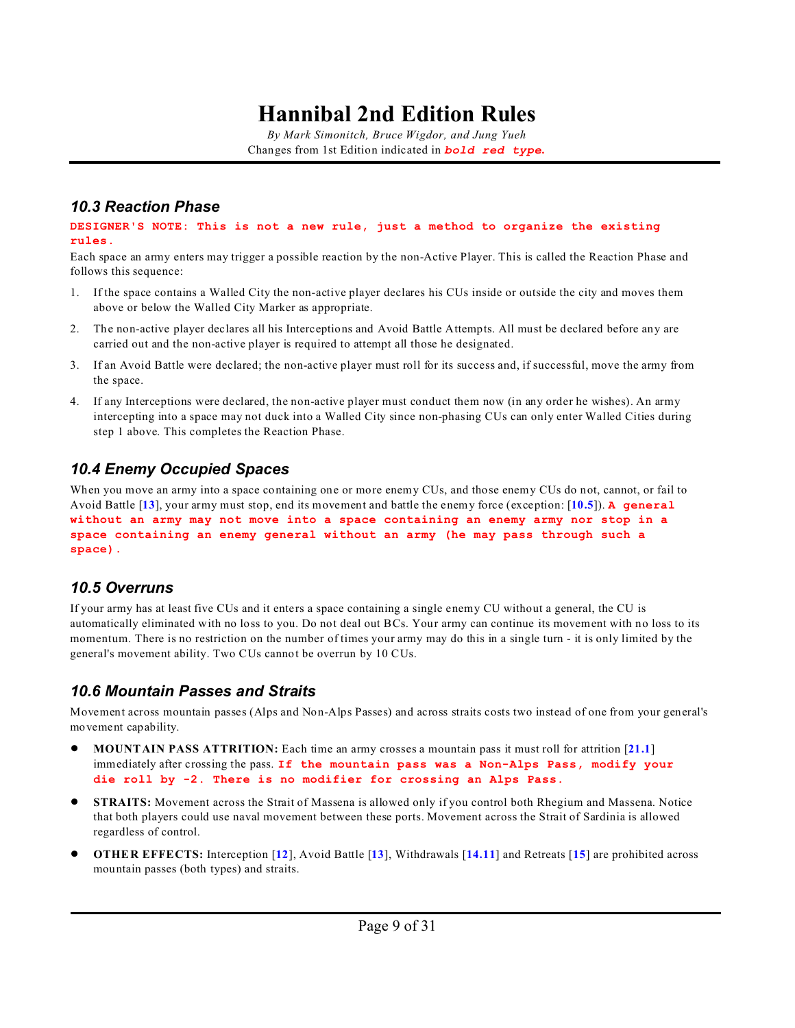*By Mark Simonitch, Bruce Wigdor, and Jung Yueh* Changes from 1st Edition indicated in *bold red type***.**

#### <span id="page-8-0"></span>*10.3 Reaction Phase*

**DESIGNER'S NOTE: This is not a new rule, just a method to organize the existing rules.**

Each space an army enters may trigger a possible reaction by the non-Active Player. This is called the Reaction Phase and follows this sequence:

- 1. If the space contains a Walled City the non-active player declares his CUs inside or outside the city and moves them above or below the Walled City Marker as appropriate.
- 2. The non-active player declares all his Interceptions and Avoid Battle Attempts. All must be declared before any are carried out and the non-active player is required to attempt all those he designated.
- 3. If an Avoid Battle were declared; the non-active player must roll for its success and, if successful, move the army from the space.
- 4. If any Interceptions were declared, the non-active player must conduct them now (in any order he wishes). An army intercepting into a space may not duck into a Walled City since non-phasing CUs can only enter Walled Cities during step 1 above. This completes the Reaction Phase.

### *10.4 Enemy Occupied Spaces*

When you move an army into a space containing one or more enemy CUs, and those enemy CUs do not, cannot, or fail to Avoid Battle [**[13](#page-13-0)**], your army must stop, end its movement and battle the enemy force (exception: [**[10.5](#page-8-1)**]). **A general without an army may not move into a space containing an enemy army nor stop in a space containing an enemy general without an army (he may pass through such a space).**

#### <span id="page-8-1"></span>*10.5 Overruns*

If your army has at least five CUs and it enters a space containing a single enemy CU without a general, the CU is automatically eliminated with no loss to you. Do not deal out BCs. Your army can continue its movement with no loss to its momentum. There is no restriction on the number of times your army may do this in a single turn - it is only limited by the general's movement ability. Two CUs cannot be overrun by 10 CUs.

#### *10.6 Mountain Passes and Straits*

Movement across mountain passes (Alps and Non-Alps Passes) and across straits costs two instead of one from your general's movement capability.

- ! **MOUNTAIN PASS ATTRITION:** Each time an army crosses a mountain pass it must roll for attrition [**[21.1](#page-25-0)**] immediately after crossing the pass. **If the mountain pass was a Non-Alps Pass, modify your die roll by -2. There is no modifier for crossing an Alps Pass.**
- ! **STRAITS:** Movement across the Strait of Massena is allowed only if you control both Rhegium and Massena. Notice that both players could use naval movement between these ports. Movement across the Strait of Sardinia is allowed regardless of control.
- ! **OTHER EFFECTS:** Interception [**[12](#page-11-0)**], Avoid Battle [**[13](#page-13-0)**], Withdrawals [**[14.11](#page-17-0)**] and Retreats [**[15](#page-18-0)**] are prohibited across mountain passes (both types) and straits.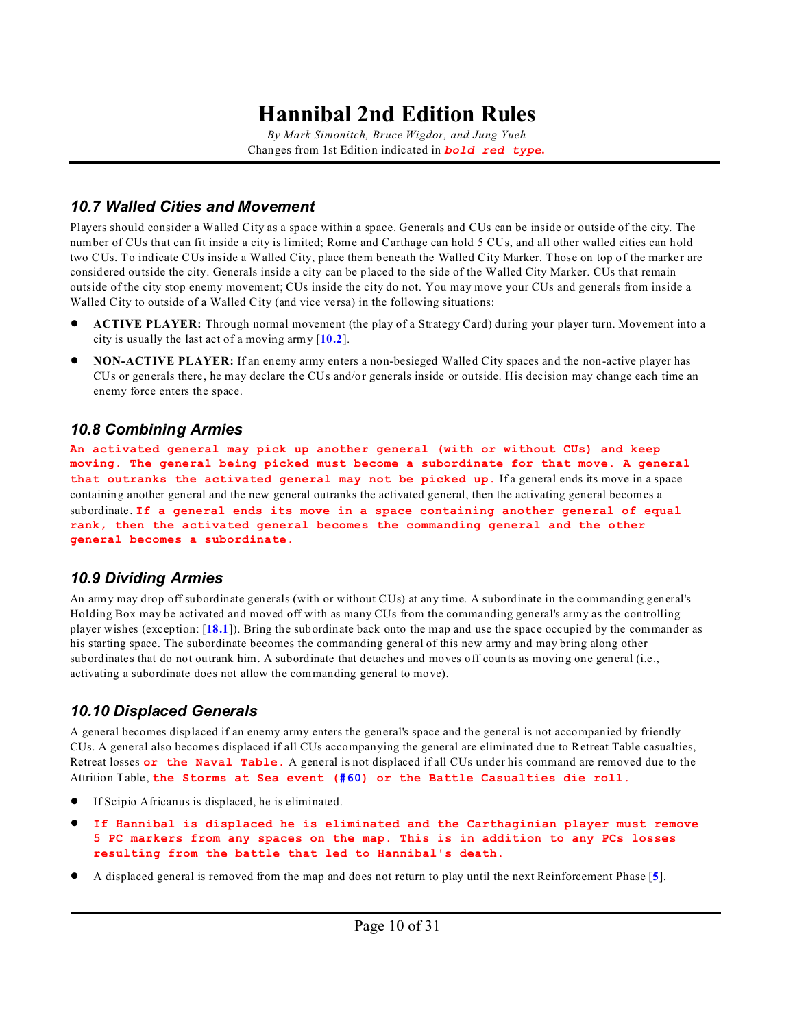*By Mark Simonitch, Bruce Wigdor, and Jung Yueh* Changes from 1st Edition indicated in *bold red type***.**

#### *10.7 Walled Cities and Movement*

Players should consider a Walled City as a space within a space. Generals and CUs can be inside or outside of the city. The number of CUs that can fit inside a city is limited; Rome and Carthage can hold 5 CUs, and all other walled cities can hold two CUs. To indicate CUs inside a Walled City, place them beneath the Walled City Marker. Those on top of the marker are considered outside the city. Generals inside a city can be placed to the side of the Walled City Marker. CUs that remain outside of the city stop enemy movement; CUs inside the city do not. You may move your CUs and generals from inside a Walled City to outside of a Walled City (and vice versa) in the following situations:

- ! **ACTIVE PLAYER:** Through normal movement (the play of a Strategy Card) during your player turn. Movement into a city is usually the last act of a moving army [**[10.2](#page-7-2)**].
- ! **NON-ACTIVE PLAYER:** If an enemy army enters a non-besieged Walled City spaces and the non-active player has CUs or generals there, he may declare the CUs and/or generals inside or outside. His decision may change each time an enemy force enters the space.

#### *10.8 Combining Armies*

**An activated general may pick up another general (with or without CUs) and keep moving. The general being picked must become a subordinate for that move. A general that outranks the activated general may not be picked up.** If a general ends its move in a space containing another general and the new general outranks the activated general, then the activating general becomes a subordinate. **If a general ends its move in a space containing another general of equal rank, then the activated general becomes the commanding general and the other general becomes a subordinate.**

#### <span id="page-9-1"></span>*10.9 Dividing Armies*

An army may drop off subordinate generals (with or without CUs) at any time. A subordinate in the commanding general's Holding Box may be activated and moved off with as many CUs from the commanding general's army as the controlling player wishes (exception: [**[18.1](#page-21-1)**]). Bring the subordinate back onto the map and use the space occupied by the commander as his starting space. The subordinate becomes the commanding general of this new army and may bring along other subordinates that do not outrank him. A subordinate that detaches and moves off counts as moving one general (i.e., activating a subordinate does not allow the commanding general to move).

### <span id="page-9-0"></span>*10.10 Displaced Generals*

A general becomes displaced if an enemy army enters the general's space and the general is not accompanied by friendly CUs. A general also becomes displaced if all CUs accompanying the general are eliminated due to Retreat Table casualties, Retreat losses **or the Naval Table**. A general is not displaced if all CUs under his command are removed due to the Attrition Table, **the Storms at Sea event [\(#60](#page-29-0)) or the Battle Casualties die roll.**

- If Scipio Africanus is displaced, he is eliminated.
- ! **If Hannibal is displaced he is eliminated and the Carthaginian player must remove 5 PC markers from any spaces on the map. This is in addition to any PCs losses resulting from the battle that led to Hannibal's death.**
- ! A displaced general is removed from the map and does not return to play until the next Reinforcement Phase [**[5](#page-2-0)**].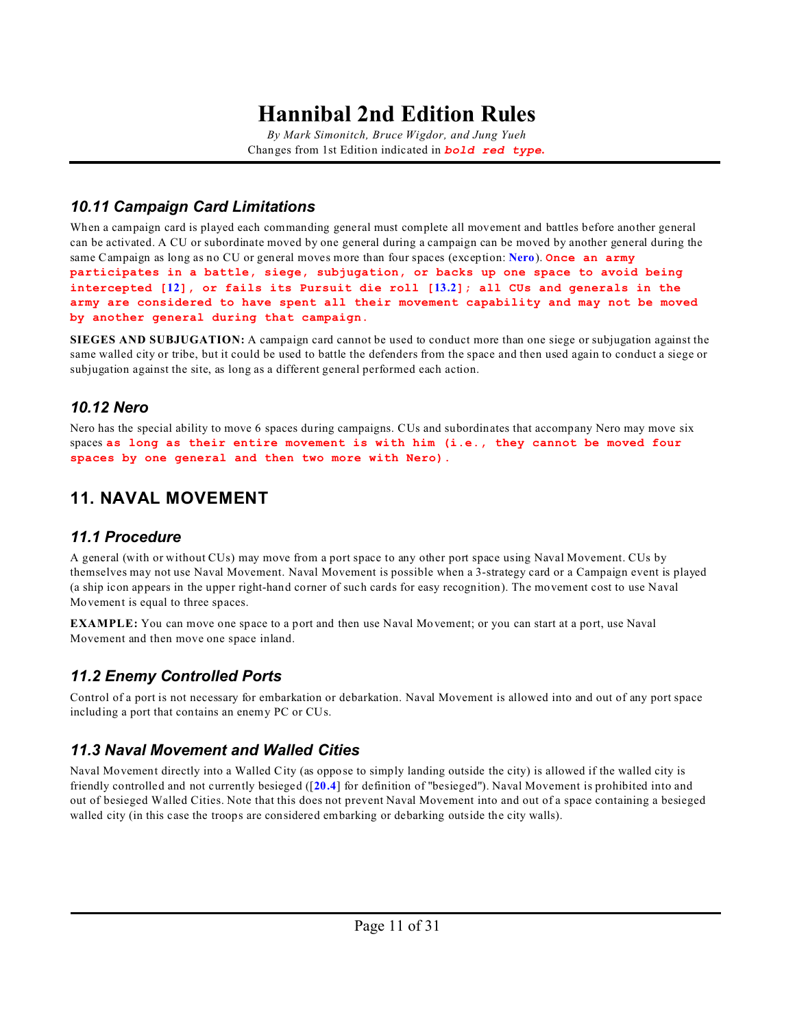*By Mark Simonitch, Bruce Wigdor, and Jung Yueh* Changes from 1st Edition indicated in *bold red type***.**

### *10.11 Campaign Card Limitations*

When a campaign card is played each commanding general must complete all movement and battles before another general can be activated. A CU or subordinate moved by one general during a campaign can be moved by another general during the same Campaign as long as no CU or general moves more than four spaces (exception: **[Nero](#page-10-0)**). **Once an army participates in a battle, siege, subjugation, or backs up one space to avoid being intercepted [[12](#page-11-0)], or fails its Pursuit die roll [[13.2](#page-14-0)]; all CUs and generals in the army are considered to have spent all their movement capability and may not be moved by another general during that campaign.**

**SIEGES AND SUBJUGATION:** A campaign card cannot be used to conduct more than one siege or subjugation against the same walled city or tribe, but it could be used to battle the defenders from the space and then used again to conduct a siege or subjugation against the site, as long as a different general performed each action.

### <span id="page-10-0"></span>*10.12 Nero*

Nero has the special ability to move 6 spaces during campaigns. CUs and subordinates that accompany Nero may move six spaces **as long as their entire movement is with him (i.e., they cannot be moved four spaces by one general and then two more with Nero).**

### **11. NAVAL MOVEMENT**

### *11.1 Procedure*

A general (with or without CUs) may move from a port space to any other port space using Naval Movement. CUs by themselves may not use Naval Movement. Naval Movement is possible when a 3-strategy card or a Campaign event is played (a ship icon appears in the upper right-hand corner of such cards for easy recognition). The movement cost to use Naval Movement is equal to three spaces.

**EXAMPLE:** You can move one space to a port and then use Naval Movement; or you can start at a port, use Naval Movement and then move one space inland.

### *11.2 Enemy Controlled Ports*

Control of a port is not necessary for embarkation or debarkation. Naval Movement is allowed into and out of any port space including a port that contains an enemy PC or CUs.

### *11.3 Naval Movement and Walled Cities*

Naval Movement directly into a Walled City (as oppose to simply landing outside the city) is allowed if the walled city is friendly controlled and not currently besieged ([**[20.4](#page-23-1)**] for definition of "besieged"). Naval Movement is prohibited into and out of besieged Walled Cities. Note that this does not prevent Naval Movement into and out of a space containing a besieged walled city (in this case the troops are considered embarking or debarking outside the city walls).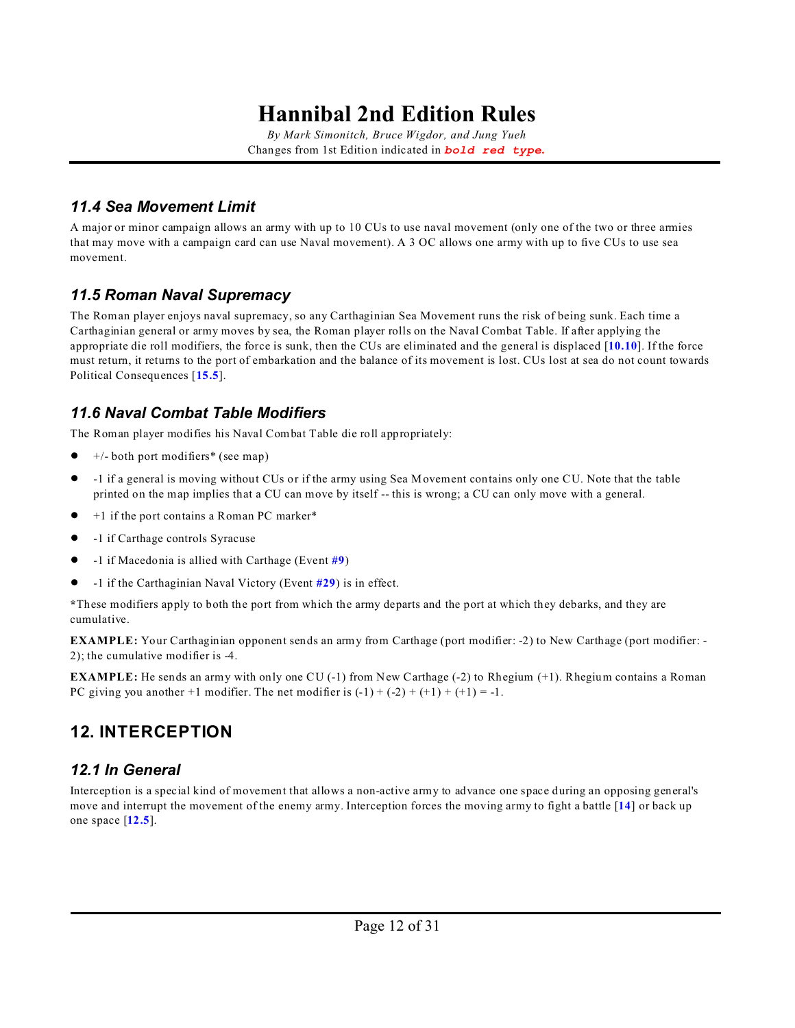*By Mark Simonitch, Bruce Wigdor, and Jung Yueh* Changes from 1st Edition indicated in *bold red type***.**

### *11.4 Sea Movement Limit*

A major or minor campaign allows an army with up to 10 CUs to use naval movement (only one of the two or three armies that may move with a campaign card can use Naval movement). A 3 OC allows one army with up to five CUs to use sea movement.

### *11.5 Roman Naval Supremacy*

The Roman player enjoys naval supremacy, so any Carthaginian Sea Movement runs the risk of being sunk. Each time a Carthaginian general or army moves by sea, the Roman player rolls on the Naval Combat Table. If after applying the appropriate die roll modifiers, the force is sunk, then the CUs are eliminated and the general is displaced [**[10.10](#page-9-0)**]. If the force must return, it returns to the port of embarkation and the balance of its movement is lost. CUs lost at sea do not count towards Political Consequences [**[15.5](#page-19-0)**].

### *11.6 Naval Combat Table Modifiers*

The Roman player modifies his Naval Combat Table die roll appropriately:

- ! +/- both port modifiers\* (see map)
- ! -1 if a general is moving without CUs or if the army using Sea Movement contains only one CU. Note that the table printed on the map implies that a CU can move by itself -- this is wrong; a CU can only move with a general.
- ! +1 if the port contains a Roman PC marker\*
- ! -1 if Carthage controls Syracuse
- ! -1 if Macedonia is allied with Carthage (Event **[#9](#page-27-3)**)
- ! -1 if the Carthaginian Naval Victory (Event **[#29](#page-28-0)**) is in effect.

**\***These modifiers apply to both the port from which the army departs and the port at which they debarks, and they are cumulative.

**EXAMPLE:** Your Carthaginian opponent sends an army from Carthage (port modifier: -2) to New Carthage (port modifier: - 2); the cumulative modifier is -4.

**EXAMPLE:** He sends an army with only one CU (-1) from New Carthage (-2) to Rhegium (+1). Rhegium contains a Roman PC giving you another  $+1$  modifier. The net modifier is  $(-1) + (-2) + (+1) + (+1) = -1$ .

## <span id="page-11-0"></span>**12. INTERCEPTION**

### *12.1 In General*

Interception is a special kind of movement that allows a non-active army to advance one space during an opposing general's move and interrupt the movement of the enemy army. Interception forces the moving army to fight a battle [**[14](#page-15-0)**] or back up one space [**[12.5](#page-12-0)**].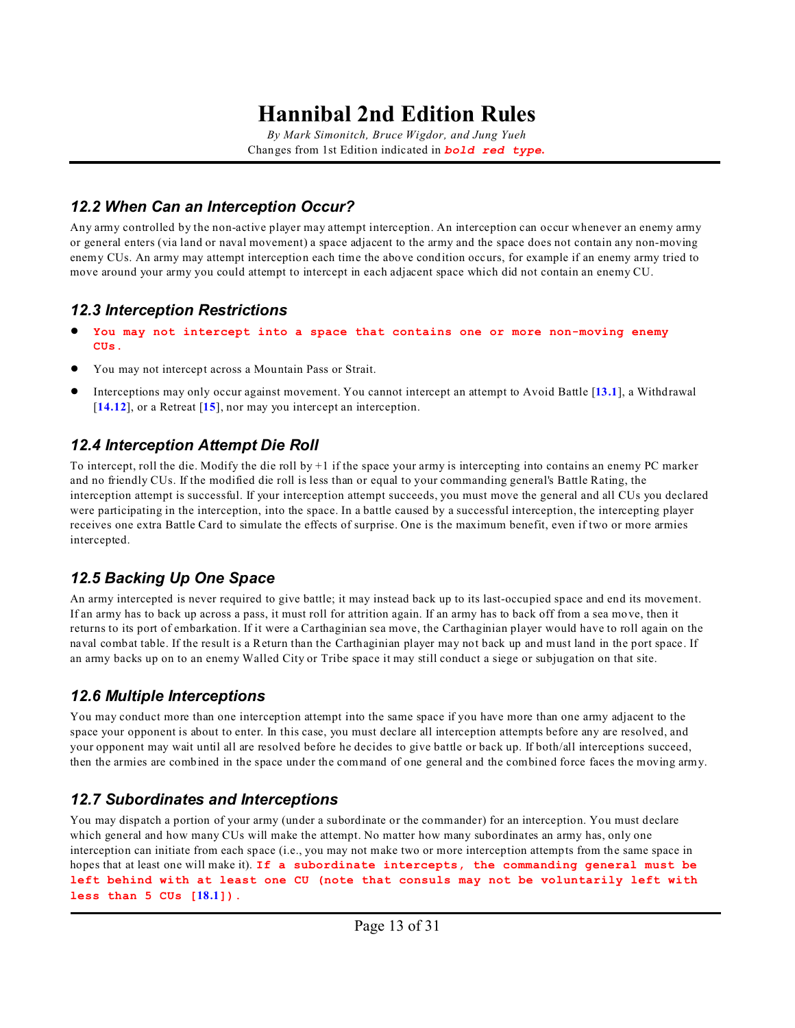*By Mark Simonitch, Bruce Wigdor, and Jung Yueh* Changes from 1st Edition indicated in *bold red type***.**

### *12.2 When Can an Interception Occur?*

Any army controlled by the non-active player may attempt interception. An interception can occur whenever an enemy army or general enters (via land or naval movement) a space adjacent to the army and the space does not contain any non-moving enemy CUs. An army may attempt interception each time the above condition occurs, for example if an enemy army tried to move around your army you could attempt to intercept in each adjacent space which did not contain an enemy CU.

### *12.3 Interception Restrictions*

- ! **You may not intercept into a space that contains one or more non-moving enemy CUs.**
- ! You may not intercept across a Mountain Pass or Strait.
- ! Interceptions may only occur against movement. You cannot intercept an attempt to Avoid Battle [**[13.1](#page-13-1)**], a Withdrawal [**[14.12](#page-18-1)**], or a Retreat [**[15](#page-18-0)**], nor may you intercept an interception.

### <span id="page-12-1"></span>*12.4 Interception Attempt Die Roll*

To intercept, roll the die. Modify the die roll by +1 if the space your army is intercepting into contains an enemy PC marker and no friendly CUs. If the modified die roll is less than or equal to your commanding general's Battle Rating, the interception attempt is successful. If your interception attempt succeeds, you must move the general and all CUs you declared were participating in the interception, into the space. In a battle caused by a successful interception, the intercepting player receives one extra Battle Card to simulate the effects of surprise. One is the maximum benefit, even if two or more armies intercepted.

### <span id="page-12-0"></span>*12.5 Backing Up One Space*

An army intercepted is never required to give battle; it may instead back up to its last-occupied space and end its movement. If an army has to back up across a pass, it must roll for attrition again. If an army has to back off from a sea move, then it returns to its port of embarkation. If it were a Carthaginian sea move, the Carthaginian player would have to roll again on the naval combat table. If the result is a Return than the Carthaginian player may not back up and must land in the port space. If an army backs up on to an enemy Walled City or Tribe space it may still conduct a siege or subjugation on that site.

### *12.6 Multiple Interceptions*

You may conduct more than one interception attempt into the same space if you have more than one army adjacent to the space your opponent is about to enter. In this case, you must declare all interception attempts before any are resolved, and your opponent may wait until all are resolved before he decides to give battle or back up. If both/all interceptions succeed, then the armies are combined in the space under the command of one general and the combined force faces the moving army.

### *12.7 Subordinates and Interceptions*

You may dispatch a portion of your army (under a subordinate or the commander) for an interception. You must declare which general and how many CUs will make the attempt. No matter how many subordinates an army has, only one interception can initiate from each space (i.e., you may not make two or more interception attempts from the same space in hopes that at least one will make it). **If a subordinate intercepts, the commanding general must be left behind with at least one CU (note that consuls may not be voluntarily left with less than 5 CUs [[18.1](#page-21-1)]).**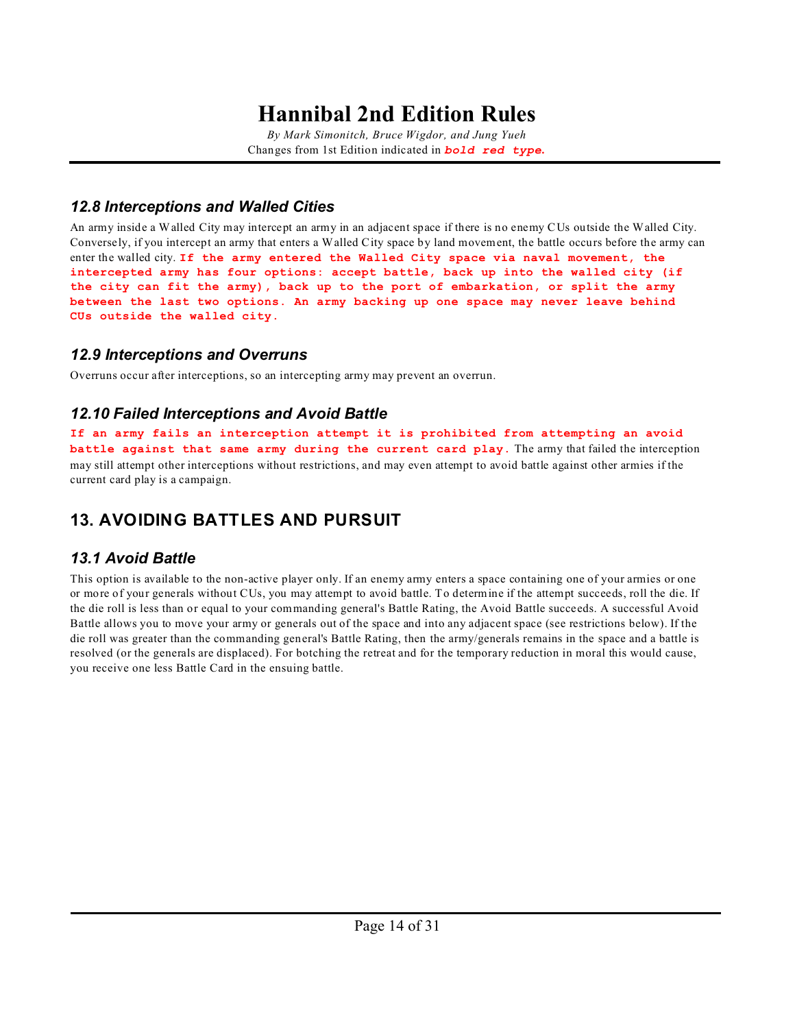*By Mark Simonitch, Bruce Wigdor, and Jung Yueh* Changes from 1st Edition indicated in *bold red type***.**

### *12.8 Interceptions and Walled Cities*

An army inside a Walled City may intercept an army in an adjacent space if there is no enemy CUs outside the Walled City. Conversely, if you intercept an army that enters a Walled City space by land movement, the battle occurs before the army can enter the walled city. **If the army entered the Walled City space via naval movement, the intercepted army has four options: accept battle, back up into the walled city (if the city can fit the army), back up to the port of embarkation, or split the army between the last two options. An army backing up one space may never leave behind CUs outside the walled city.**

### *12.9 Interceptions and Overruns*

Overruns occur after interceptions, so an intercepting army may prevent an overrun.

### <span id="page-13-2"></span>*12.10 Failed Interceptions and Avoid Battle*

**If an army fails an interception attempt it is prohibited from attempting an avoid battle against that same army during the current card play.** The army that failed the interception may still attempt other interceptions without restrictions, and may even attempt to avoid battle against other armies if the current card play is a campaign.

## <span id="page-13-0"></span>**13. AVOIDING BATTLES AND PURSUIT**

### <span id="page-13-1"></span>*13.1 Avoid Battle*

This option is available to the non-active player only. If an enemy army enters a space containing one of your armies or one or more of your generals without CUs, you may attempt to avoid battle. To determine if the attempt succeeds, roll the die. If the die roll is less than or equal to your commanding general's Battle Rating, the Avoid Battle succeeds. A successful Avoid Battle allows you to move your army or generals out of the space and into any adjacent space (see restrictions below). If the die roll was greater than the commanding general's Battle Rating, then the army/generals remains in the space and a battle is resolved (or the generals are displaced). For botching the retreat and for the temporary reduction in moral this would cause, you receive one less Battle Card in the ensuing battle.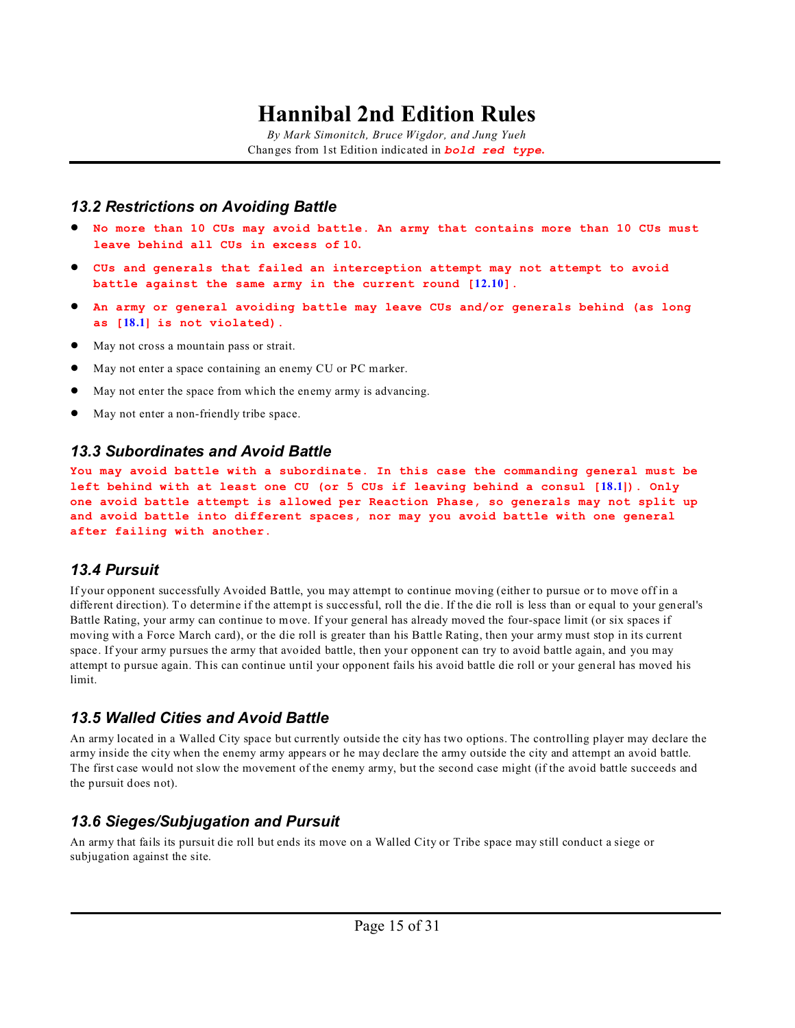*By Mark Simonitch, Bruce Wigdor, and Jung Yueh* Changes from 1st Edition indicated in *bold red type***.**

#### <span id="page-14-0"></span>*13.2 Restrictions on Avoiding Battle*

- ! **No more than 10 CUs may avoid battle. An army that contains more than 10 CUs must leave behind all CUs in excess of 10.**
- ! **CUs and generals that failed an interception attempt may not attempt to avoid battle against the same army in the current round [[12.10](#page-13-2)].**
- ! **An army or general avoiding battle may leave CUs and/or generals behind (as long as [[18.1](#page-21-1)] is not violated).**
- May not cross a mountain pass or strait.
- ! May not enter a space containing an enemy CU or PC marker.
- ! May not enter the space from which the enemy army is advancing.
- May not enter a non-friendly tribe space.

#### *13.3 Subordinates and Avoid Battle*

**You may avoid battle with a subordinate. In this case the commanding general must be left behind with at least one CU (or 5 CUs if leaving behind a consul [[18.1](#page-21-1)]). Only one avoid battle attempt is allowed per Reaction Phase, so generals may not split up and avoid battle into different spaces, nor may you avoid battle with one general after failing with another.**

#### *13.4 Pursuit*

If your opponent successfully Avoided Battle, you may attempt to continue moving (either to pursue or to move off in a different direction). To determine if the attempt is successful, roll the die. If the die roll is less than or equal to your general's Battle Rating, your army can continue to move. If your general has already moved the four-space limit (or six spaces if moving with a Force March card), or the die roll is greater than his Battle Rating, then your army must stop in its current space. If your army pursues the army that avoided battle, then your opponent can try to avoid battle again, and you may attempt to pursue again. This can continue until your opponent fails his avoid battle die roll or your general has moved his limit.

#### *13.5 Walled Cities and Avoid Battle*

An army located in a Walled City space but currently outside the city has two options. The controlling player may declare the army inside the city when the enemy army appears or he may declare the army outside the city and attempt an avoid battle. The first case would not slow the movement of the enemy army, but the second case might (if the avoid battle succeeds and the pursuit does not).

#### *13.6 Sieges/Subjugation and Pursuit*

An army that fails its pursuit die roll but ends its move on a Walled City or Tribe space may still conduct a siege or subjugation against the site.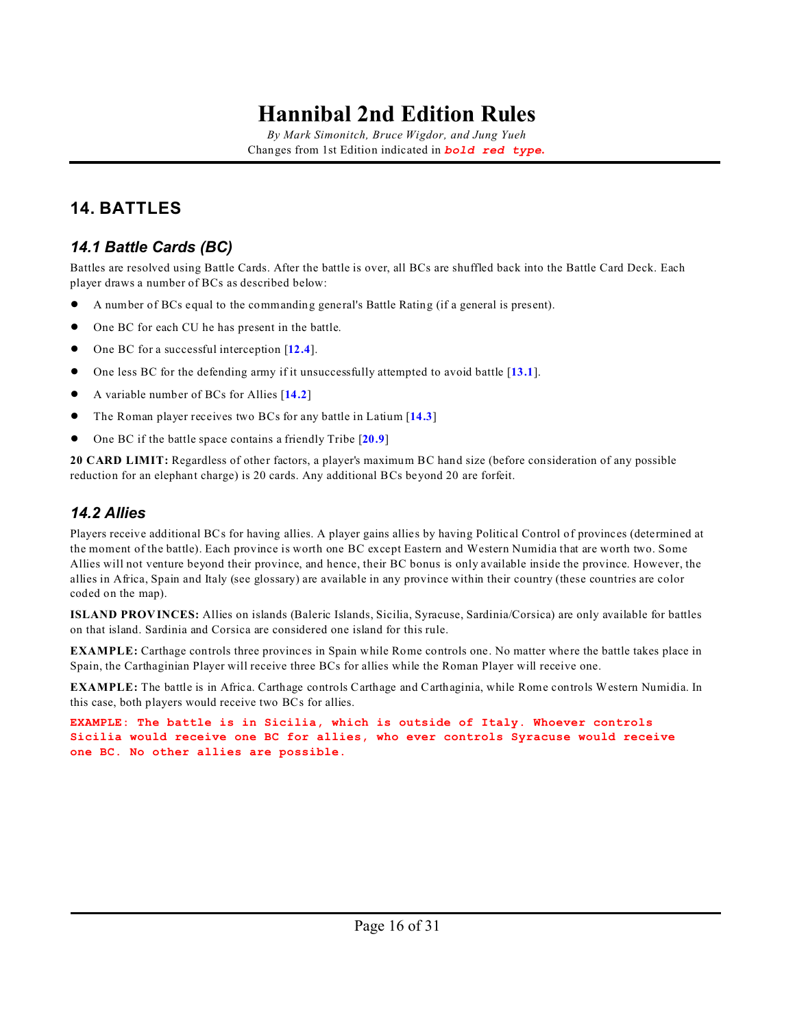*By Mark Simonitch, Bruce Wigdor, and Jung Yueh* Changes from 1st Edition indicated in *bold red type***.**

## <span id="page-15-0"></span>**14. BATTLES**

### *14.1 Battle Cards (BC)*

Battles are resolved using Battle Cards. After the battle is over, all BCs are shuffled back into the Battle Card Deck. Each player draws a number of BCs as described below:

- ! A number of BCs equal to the commanding general's Battle Rating (if a general is present).
- One BC for each CU he has present in the battle.
- ! One BC for a successful interception [**[12.4](#page-12-1)**].
- ! One less BC for the defending army if it unsuccessfully attempted to avoid battle [**[13.1](#page-13-1)**].
- ! A variable number of BCs for Allies [**[14.2](#page-15-1)**]
- ! The Roman player receives two BCs for any battle in Latium [**[14.3](#page-16-0)**]
- ! One BC if the battle space contains a friendly Tribe [**[20.9](#page-24-0)**]

**20 CARD LIMIT:** Regardless of other factors, a player's maximum BC hand size (before consideration of any possible reduction for an elephant charge) is 20 cards. Any additional BCs beyond 20 are forfeit.

### <span id="page-15-1"></span>*14.2 Allies*

Players receive additional BCs for having allies. A player gains allies by having Political Control of provinces (determined at the moment of the battle). Each province is worth one BC except Eastern and Western Numidia that are worth two. Some Allies will not venture beyond their province, and hence, their BC bonus is only available inside the province. However, the allies in Africa, Spain and Italy (see glossary) are available in any province within their country (these countries are color coded on the map).

**ISLAND PROVINCES:** Allies on islands (Baleric Islands, Sicilia, Syracuse, Sardinia/Corsica) are only available for battles on that island. Sardinia and Corsica are considered one island for this rule.

**EXAMPLE:** Carthage controls three provinces in Spain while Rome controls one. No matter where the battle takes place in Spain, the Carthaginian Player will receive three BCs for allies while the Roman Player will receive one.

**EXAMPLE:** The battle is in Africa. Carthage controls Carthage and Carthaginia, while Rome controls Western Numidia. In this case, both players would receive two BCs for allies.

**EXAMPLE: The battle is in Sicilia, which is outside of Italy. Whoever controls Sicilia would receive one BC for allies, who ever controls Syracuse would receive one BC. No other allies are possible.**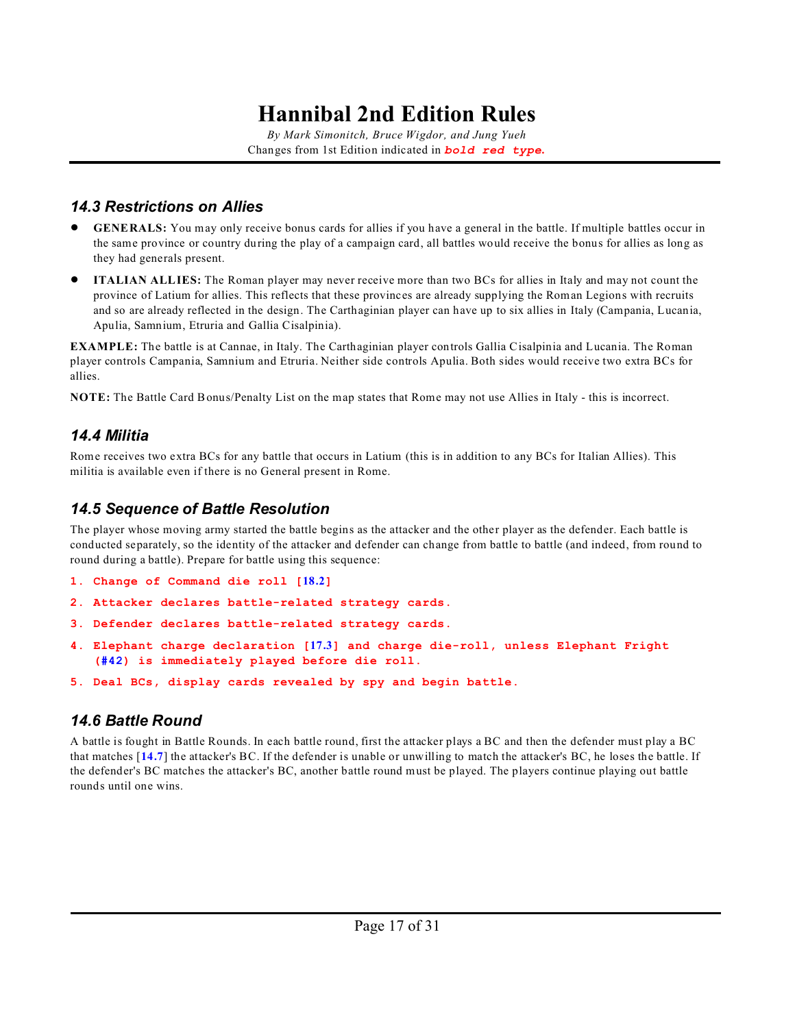*By Mark Simonitch, Bruce Wigdor, and Jung Yueh* Changes from 1st Edition indicated in *bold red type***.**

### <span id="page-16-0"></span>*14.3 Restrictions on Allies*

- ! **GENERALS:** You may only receive bonus cards for allies if you have a general in the battle. If multiple battles occur in the same province or country during the play of a campaign card, all battles would receive the bonus for allies as long as they had generals present.
- ! **ITALIAN ALLIES:** The Roman player may never receive more than two BCs for allies in Italy and may not count the province of Latium for allies. This reflects that these provinces are already supplying the Roman Legions with recruits and so are already reflected in the design. The Carthaginian player can have up to six allies in Italy (Campania, Lucania, Apulia, Samnium, Etruria and Gallia Cisalpinia).

**EXAMPLE:** The battle is at Cannae, in Italy. The Carthaginian player controls Gallia Cisalpinia and Lucania. The Roman player controls Campania, Samnium and Etruria. Neither side controls Apulia. Both sides would receive two extra BCs for allies.

**NOTE:** The Battle Card Bonus/Penalty List on the map states that Rome may not use Allies in Italy - this is incorrect.

### *14.4 Militia*

Rome receives two extra BCs for any battle that occurs in Latium (this is in addition to any BCs for Italian Allies). This militia is available even if there is no General present in Rome.

### *14.5 Sequence of Battle Resolution*

The player whose moving army started the battle begins as the attacker and the other player as the defender. Each battle is conducted separately, so the identity of the attacker and defender can change from battle to battle (and indeed, from round to round during a battle). Prepare for battle using this sequence:

- **1. Change of Command die roll [[18.2](#page-21-2)]**
- **2. Attacker declares battle-related strategy cards.**
- **3. Defender declares battle-related strategy cards.**
- **4. Elephant charge declaration [[17.3](#page-20-0)] and charge die-roll, unless Elephant Fright [\(#42](#page-28-1)) is immediately played before die roll.**
- **5. Deal BCs, display cards revealed by spy and begin battle.**

### *14.6 Battle Round*

A battle is fought in Battle Rounds. In each battle round, first the attacker plays a BC and then the defender must play a BC that matches [**[14.7](#page-17-1)**] the attacker's BC. If the defender is unable or unwilling to match the attacker's BC, he loses the battle. If the defender's BC matches the attacker's BC, another battle round must be played. The players continue playing out battle rounds until one wins.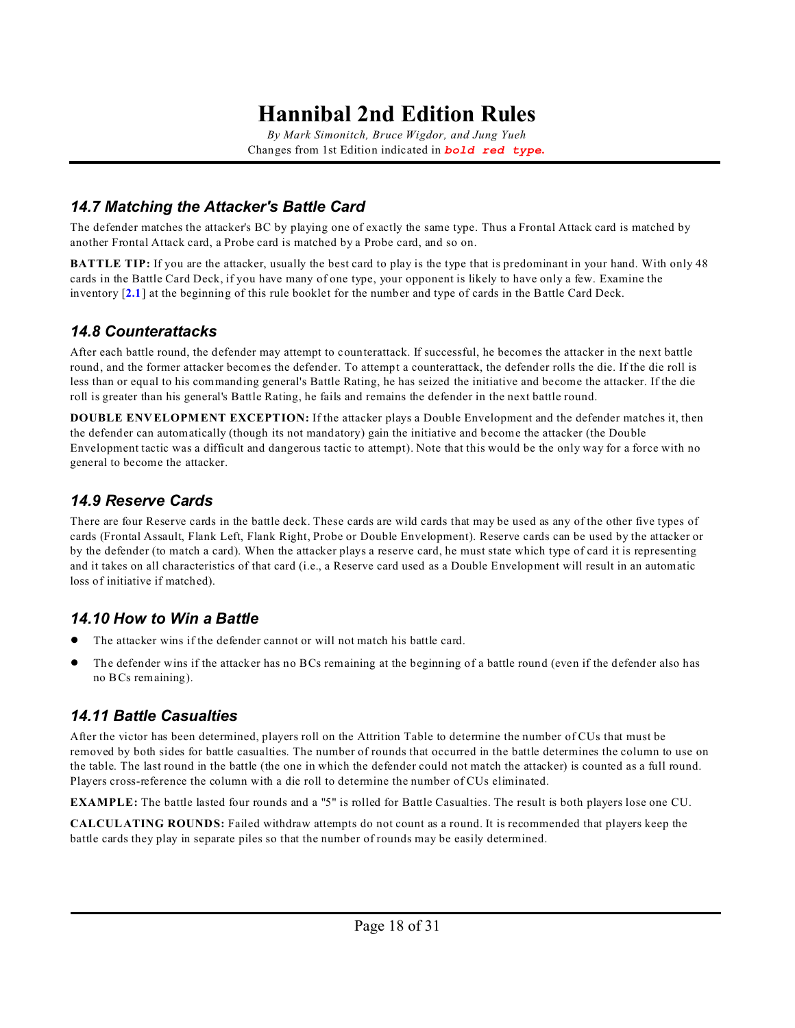*By Mark Simonitch, Bruce Wigdor, and Jung Yueh* Changes from 1st Edition indicated in *bold red type***.**

### <span id="page-17-1"></span>*14.7 Matching the Attacker's Battle Card*

The defender matches the attacker's BC by playing one of exactly the same type. Thus a Frontal Attack card is matched by another Frontal Attack card, a Probe card is matched by a Probe card, and so on.

**BATTLE TIP:** If you are the attacker, usually the best card to play is the type that is predominant in your hand. With only 48 cards in the Battle Card Deck, if you have many of one type, your opponent is likely to have only a few. Examine the inventory [**[2.1](#page-0-0)**] at the beginning of this rule booklet for the number and type of cards in the Battle Card Deck.

### *14.8 Counterattacks*

After each battle round, the defender may attempt to counterattack. If successful, he becomes the attacker in the next battle round, and the former attacker becomes the defender. To attempt a counterattack, the defender rolls the die. If the die roll is less than or equal to his commanding general's Battle Rating, he has seized the initiative and become the attacker. If the die roll is greater than his general's Battle Rating, he fails and remains the defender in the next battle round.

**DOUBLE ENVELOPMENT EXCEPTION:** If the attacker plays a Double Envelopment and the defender matches it, then the defender can automatically (though its not mandatory) gain the initiative and become the attacker (the Double Envelopment tactic was a difficult and dangerous tactic to attempt). Note that this would be the only way for a force with no general to become the attacker.

### *14.9 Reserve Cards*

There are four Reserve cards in the battle deck. These cards are wild cards that may be used as any of the other five types of cards (Frontal Assault, Flank Left, Flank Right, Probe or Double Envelopment). Reserve cards can be used by the attacker or by the defender (to match a card). When the attacker plays a reserve card, he must state which type of card it is representing and it takes on all characteristics of that card (i.e., a Reserve card used as a Double Envelopment will result in an automatic loss of initiative if matched).

### *14.10 How to Win a Battle*

- The attacker wins if the defender cannot or will not match his battle card.
- ! The defender wins if the attacker has no BCs remaining at the beginning of a battle round (even if the defender also has no BCs remaining).

### <span id="page-17-0"></span>*14.11 Battle Casualties*

After the victor has been determined, players roll on the Attrition Table to determine the number of CUs that must be removed by both sides for battle casualties. The number of rounds that occurred in the battle determines the column to use on the table. The last round in the battle (the one in which the defender could not match the attacker) is counted as a full round. Players cross-reference the column with a die roll to determine the number of CUs eliminated.

**EXAMPLE:** The battle lasted four rounds and a "5" is rolled for Battle Casualties. The result is both players lose one CU.

**CALCULATING ROUNDS:** Failed withdraw attempts do not count as a round. It is recommended that players keep the battle cards they play in separate piles so that the number of rounds may be easily determined.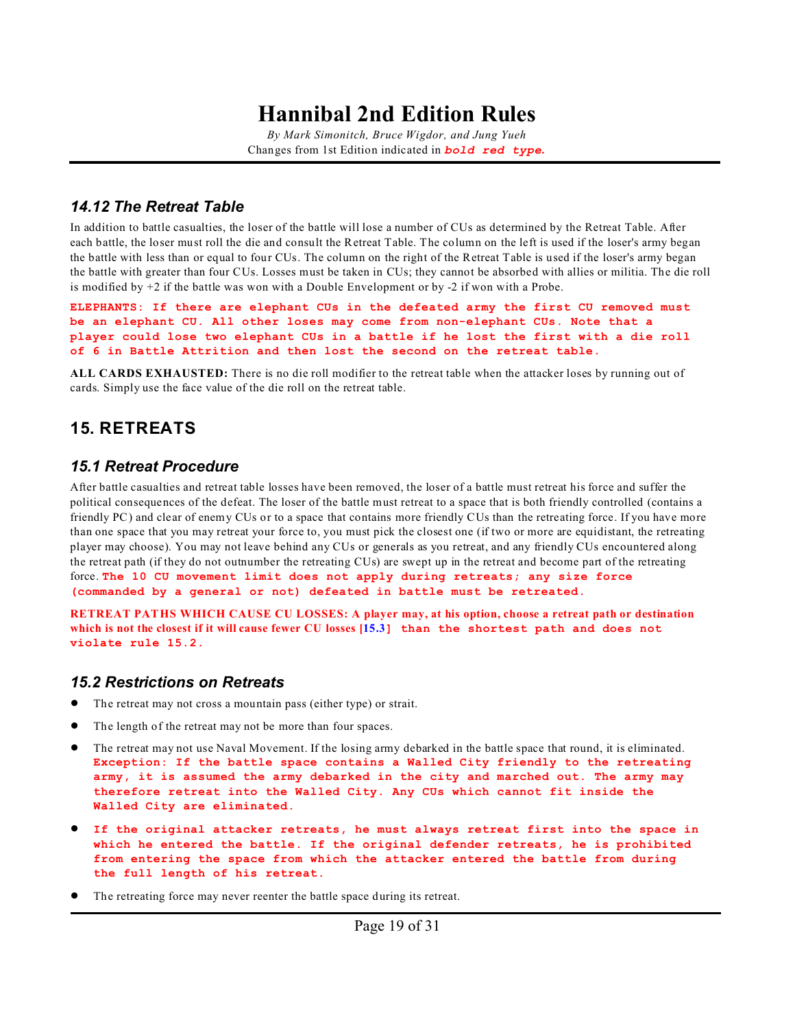*By Mark Simonitch, Bruce Wigdor, and Jung Yueh* Changes from 1st Edition indicated in *bold red type***.**

#### <span id="page-18-1"></span>*14.12 The Retreat Table*

In addition to battle casualties, the loser of the battle will lose a number of CUs as determined by the Retreat Table. After each battle, the loser must roll the die and consult the Retreat Table. The column on the left is used if the loser's army began the battle with less than or equal to four CUs. The column on the right of the Retreat Table is used if the loser's army began the battle with greater than four CUs. Losses must be taken in CUs; they cannot be absorbed with allies or militia. The die roll is modified by +2 if the battle was won with a Double Envelopment or by -2 if won with a Probe.

**ELEPHANTS: If there are elephant CUs in the defeated army the first CU removed must be an elephant CU. All other loses may come from non-elephant CUs. Note that a player could lose two elephant CUs in a battle if he lost the first with a die roll of 6 in Battle Attrition and then lost the second on the retreat table.**

**ALL CARDS EXHAUSTED:** There is no die roll modifier to the retreat table when the attacker loses by running out of cards. Simply use the face value of the die roll on the retreat table.

### <span id="page-18-0"></span>**15. RETREATS**

#### <span id="page-18-2"></span>*15.1 Retreat Procedure*

After battle casualties and retreat table losses have been removed, the loser of a battle must retreat his force and suffer the political consequences of the defeat. The loser of the battle must retreat to a space that is both friendly controlled (contains a friendly PC) and clear of enemy CUs or to a space that contains more friendly CUs than the retreating force. If you have more than one space that you may retreat your force to, you must pick the closest one (if two or more are equidistant, the retreating player may choose). You may not leave behind any CUs or generals as you retreat, and any friendly CUs encountered along the retreat path (if they do not outnumber the retreating CUs) are swept up in the retreat and become part of the retreating force. **The 10 CU movement limit does not apply during retreats; any size force (commanded by a general or not) defeated in battle must be retreated.**

**RETREAT PATHS WHICH CAUSE CU LOSSES: A player may, at his option, choose a retreat path or destination which is not the closest if it will cause fewer CU losses [\[15.3](#page-19-1)] than the shortest path and does not violate rule 15.2.**

#### *15.2 Restrictions on Retreats*

- The retreat may not cross a mountain pass (either type) or strait.
- The length of the retreat may not be more than four spaces.
- ! The retreat may not use Naval Movement. If the losing army debarked in the battle space that round, it is eliminated. **Exception: If the battle space contains a Walled City friendly to the retreating army, it is assumed the army debarked in the city and marched out. The army may therefore retreat into the Walled City. Any CUs which cannot fit inside the Walled City are eliminated.**
- ! **If the original attacker retreats, he must always retreat first into the space in which he entered the battle. If the original defender retreats, he is prohibited from entering the space from which the attacker entered the battle from during the full length of his retreat.**
- The retreating force may never reenter the battle space during its retreat.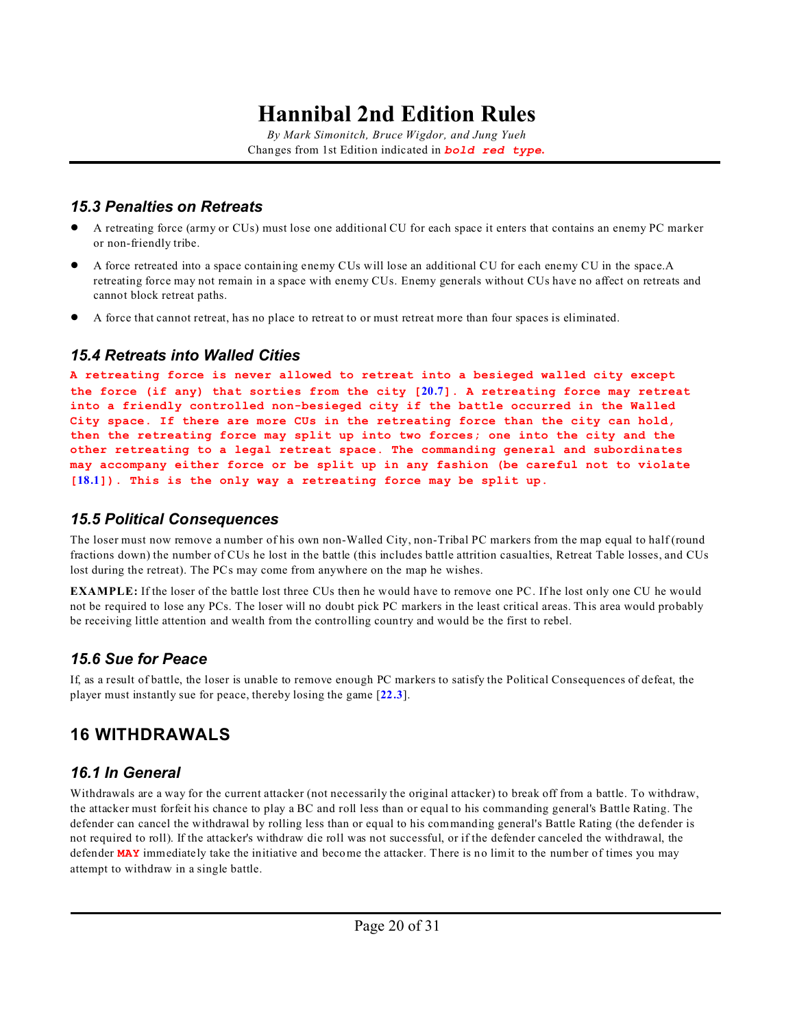*By Mark Simonitch, Bruce Wigdor, and Jung Yueh* Changes from 1st Edition indicated in *bold red type***.**

### <span id="page-19-1"></span>*15.3 Penalties on Retreats*

- ! A retreating force (army or CUs) must lose one additional CU for each space it enters that contains an enemy PC marker or non-friendly tribe.
- ! A force retreated into a space containing enemy CUs will lose an additional CU for each enemy CU in the space.A retreating force may not remain in a space with enemy CUs. Enemy generals without CUs have no affect on retreats and cannot block retreat paths.
- ! A force that cannot retreat, has no place to retreat to or must retreat more than four spaces is eliminated.

### *15.4 Retreats into Walled Cities*

**A retreating force is never allowed to retreat into a besieged walled city except the force (if any) that sorties from the city [[20.7](#page-24-1)]. A retreating force may retreat into a friendly controlled non-besieged city if the battle occurred in the Walled City space. If there are more CUs in the retreating force than the city can hold, then the retreating force may split up into two forces; one into the city and the other retreating to a legal retreat space. The commanding general and subordinates may accompany either force or be split up in any fashion (be careful not to violate [[18.1](#page-21-1)]). This is the only way a retreating force may be split up.**

### <span id="page-19-0"></span>*15.5 Political Consequences*

The loser must now remove a number of his own non-Walled City, non-Tribal PC markers from the map equal to half (round fractions down) the number of CUs he lost in the battle (this includes battle attrition casualties, Retreat Table losses, and CUs lost during the retreat). The PCs may come from anywhere on the map he wishes.

**EXAMPLE:** If the loser of the battle lost three CUs then he would have to remove one PC. If he lost only one CU he would not be required to lose any PCs. The loser will no doubt pick PC markers in the least critical areas. This area would probably be receiving little attention and wealth from the controlling country and would be the first to rebel.

### <span id="page-19-2"></span>*15.6 Sue for Peace*

If, as a result of battle, the loser is unable to remove enough PC markers to satisfy the Political Consequences of defeat, the player must instantly sue for peace, thereby losing the game [**[22.3](#page-26-2)**].

## **16 WITHDRAWALS**

### *16.1 In General*

Withdrawals are a way for the current attacker (not necessarily the original attacker) to break off from a battle. To withdraw, the attacker must forfeit his chance to play a BC and roll less than or equal to his commanding general's Battle Rating. The defender can cancel the withdrawal by rolling less than or equal to his commanding general's Battle Rating (the defender is not required to roll). If the attacker's withdraw die roll was not successful, or if the defender canceled the withdrawal, the defender **MAY** immediately take the initiative and become the attacker. There is no limit to the number of times you may attempt to withdraw in a single battle.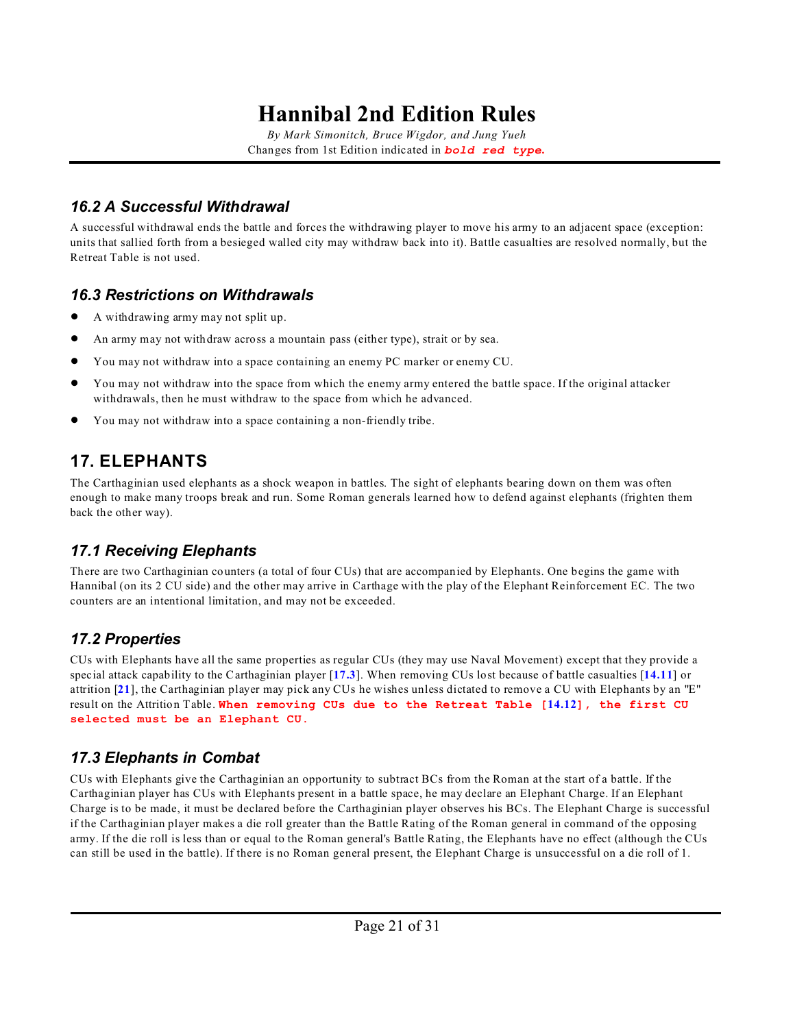*By Mark Simonitch, Bruce Wigdor, and Jung Yueh* Changes from 1st Edition indicated in *bold red type***.**

### *16.2 A Successful Withdrawal*

A successful withdrawal ends the battle and forces the withdrawing player to move his army to an adjacent space (exception: units that sallied forth from a besieged walled city may withdraw back into it). Battle casualties are resolved normally, but the Retreat Table is not used.

### <span id="page-20-1"></span>*16.3 Restrictions on Withdrawals*

- A withdrawing army may not split up.
- ! An army may not withdraw across a mountain pass (either type), strait or by sea.
- ! You may not withdraw into a space containing an enemy PC marker or enemy CU.
- ! You may not withdraw into the space from which the enemy army entered the battle space. If the original attacker withdrawals, then he must withdraw to the space from which he advanced.
- You may not withdraw into a space containing a non-friendly tribe.

## **17. ELEPHANTS**

The Carthaginian used elephants as a shock weapon in battles. The sight of elephants bearing down on them was often enough to make many troops break and run. Some Roman generals learned how to defend against elephants (frighten them back the other way).

### *17.1 Receiving Elephants*

There are two Carthaginian counters (a total of four CUs) that are accompanied by Elephants. One begins the game with Hannibal (on its 2 CU side) and the other may arrive in Carthage with the play of the Elephant Reinforcement EC. The two counters are an intentional limitation, and may not be exceeded.

### *17.2 Properties*

CUs with Elephants have all the same properties as regular CUs (they may use Naval Movement) except that they provide a special attack capability to the Carthaginian player [**[17.3](#page-20-0)**]. When removing CUs lost because of battle casualties [**[14.11](#page-17-0)**] or attrition [**[21](#page-25-3)**], the Carthaginian player may pick any CUs he wishes unless dictated to remove a CU with Elephants by an "E" result on the Attrition Table. **When removing CUs due to the Retreat Table [[14.12](#page-18-1)], the first CU selected must be an Elephant CU.**

### <span id="page-20-0"></span>*17.3 Elephants in Combat*

CUs with Elephants give the Carthaginian an opportunity to subtract BCs from the Roman at the start of a battle. If the Carthaginian player has CUs with Elephants present in a battle space, he may declare an Elephant Charge. If an Elephant Charge is to be made, it must be declared before the Carthaginian player observes his BCs. The Elephant Charge is successful if the Carthaginian player makes a die roll greater than the Battle Rating of the Roman general in command of the opposing army. If the die roll is less than or equal to the Roman general's Battle Rating, the Elephants have no effect (although the CUs can still be used in the battle). If there is no Roman general present, the Elephant Charge is unsuccessful on a die roll of 1.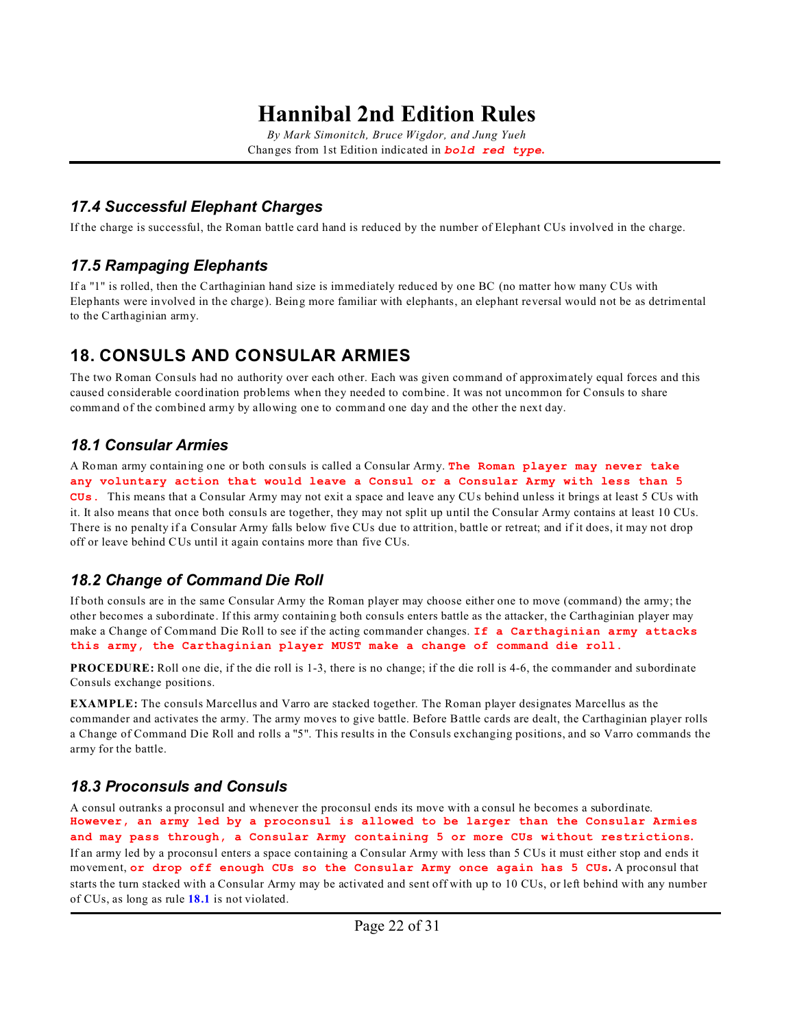*By Mark Simonitch, Bruce Wigdor, and Jung Yueh* Changes from 1st Edition indicated in *bold red type***.**

### *17.4 Successful Elephant Charges*

If the charge is successful, the Roman battle card hand is reduced by the number of Elephant CUs involved in the charge.

### *17.5 Rampaging Elephants*

If a "1" is rolled, then the Carthaginian hand size is immediately reduced by one BC (no matter how many CUs with Elephants were involved in the charge). Being more familiar with elephants, an elephant reversal would not be as detrimental to the Carthaginian army.

### <span id="page-21-0"></span>**18. CONSULS AND CONSULAR ARMIES**

The two Roman Consuls had no authority over each other. Each was given command of approximately equal forces and this caused considerable coordination problems when they needed to combine. It was not uncommon for Consuls to share command of the combined army by allowing one to command one day and the other the next day.

### <span id="page-21-1"></span>*18.1 Consular Armies*

A Roman army containing one or both consuls is called a Consular Army. **The Roman player may never take any voluntary action that would leave a Consul or a Consular Army with less than 5 CUs.** This means that a Consular Army may not exit a space and leave any CUs behind unless it brings at least 5 CUs with it. It also means that once both consuls are together, they may not split up until the Consular Army contains at least 10 CUs. There is no penalty if a Consular Army falls below five CUs due to attrition, battle or retreat; and if it does, it may not drop off or leave behind CUs until it again contains more than five CUs.

### <span id="page-21-2"></span>*18.2 Change of Command Die Roll*

If both consuls are in the same Consular Army the Roman player may choose either one to move (command) the army; the other becomes a subordinate. If this army containing both consuls enters battle as the attacker, the Carthaginian player may make a Change of Command Die Roll to see if the acting commander changes. **If a Carthaginian army attacks this army, the Carthaginian player MUST make a change of command die roll.**

**PROCEDURE:** Roll one die, if the die roll is 1-3, there is no change; if the die roll is 4-6, the commander and subordinate Consuls exchange positions.

**EXAMPLE:** The consuls Marcellus and Varro are stacked together. The Roman player designates Marcellus as the commander and activates the army. The army moves to give battle. Before Battle cards are dealt, the Carthaginian player rolls a Change of Command Die Roll and rolls a "5". This results in the Consuls exchanging positions, and so Varro commands the army for the battle.

### *18.3 Proconsuls and Consuls*

A consul outranks a proconsul and whenever the proconsul ends its move with a consul he becomes a subordinate. **However, an army led by a proconsul is allowed to be larger than the Consular Armies and may pass through, a Consular Army containing 5 or more CUs without restrictions.** If an army led by a proconsul enters a space containing a Consular Army with less than 5 CUs it must either stop and ends it movement, **or drop off enough CUs so the Consular Army once again has 5 CUs.** A proconsul that starts the turn stacked with a Consular Army may be activated and sent off with up to 10 CUs, or left behind with any number of CUs, as long as rule **[18.1](#page-21-1)** is not violated.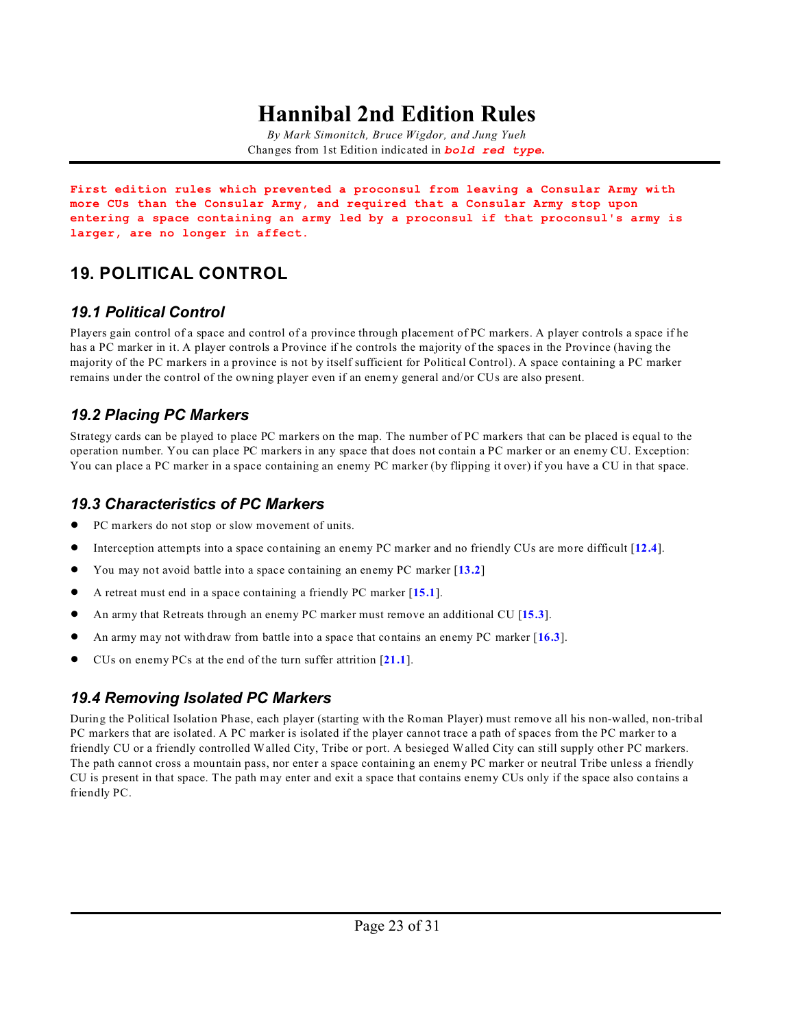*By Mark Simonitch, Bruce Wigdor, and Jung Yueh* Changes from 1st Edition indicated in *bold red type***.**

**First edition rules which prevented a proconsul from leaving a Consular Army with more CUs than the Consular Army, and required that a Consular Army stop upon entering a space containing an army led by a proconsul if that proconsul's army is larger, are no longer in affect.**

## **19. POLITICAL CONTROL**

### <span id="page-22-0"></span>*19.1 Political Control*

Players gain control of a space and control of a province through placement of PC markers. A player controls a space if he has a PC marker in it. A player controls a Province if he controls the majority of the spaces in the Province (having the majority of the PC markers in a province is not by itself sufficient for Political Control). A space containing a PC marker remains under the control of the owning player even if an enemy general and/or CUs are also present.

### *19.2 Placing PC Markers*

Strategy cards can be played to place PC markers on the map. The number of PC markers that can be placed is equal to the operation number. You can place PC markers in any space that does not contain a PC marker or an enemy CU. Exception: You can place a PC marker in a space containing an enemy PC marker (by flipping it over) if you have a CU in that space.

### *19.3 Characteristics of PC Markers*

- PC markers do not stop or slow movement of units.
- ! Interception attempts into a space containing an enemy PC marker and no friendly CUs are more difficult [**[12.4](#page-12-1)**].
- ! You may not avoid battle into a space containing an enemy PC marker [**[13.2](#page-14-0)**]
- ! A retreat must end in a space containing a friendly PC marker [**[15.1](#page-18-2)**].
- ! An army that Retreats through an enemy PC marker must remove an additional CU [**[15.3](#page-19-1)**].
- ! An army may not withdraw from battle into a space that contains an enemy PC marker [**[16.3](#page-20-1)**].
- ! CUs on enemy PCs at the end of the turn suffer attrition [**[21.1](#page-25-0)**].

### <span id="page-22-1"></span>*19.4 Removing Isolated PC Markers*

During the Political Isolation Phase, each player (starting with the Roman Player) must remove all his non-walled, non-tribal PC markers that are isolated. A PC marker is isolated if the player cannot trace a path of spaces from the PC marker to a friendly CU or a friendly controlled Walled City, Tribe or port. A besieged Walled City can still supply other PC markers. The path cannot cross a mountain pass, nor enter a space containing an enemy PC marker or neutral Tribe unless a friendly CU is present in that space. The path may enter and exit a space that contains enemy CUs only if the space also contains a friendly PC.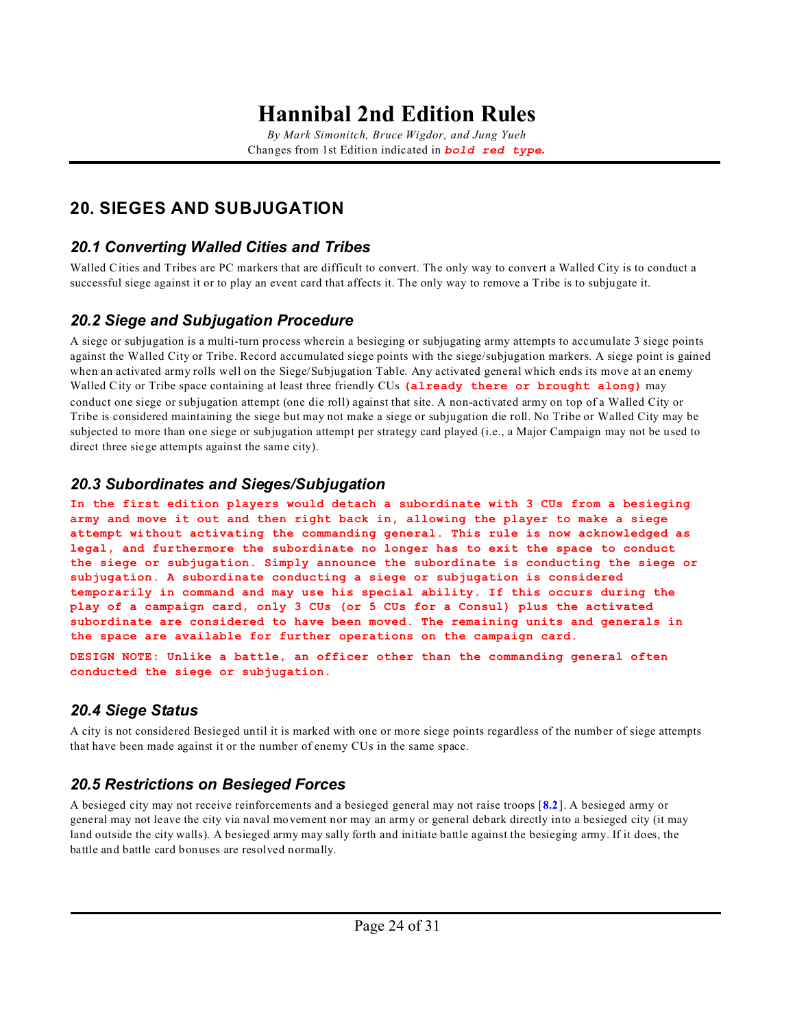*By Mark Simonitch, Bruce Wigdor, and Jung Yueh* Changes from 1st Edition indicated in *bold red type***.**

### <span id="page-23-0"></span>**20. SIEGES AND SUBJUGATION**

### *20.1 Converting Walled Cities and Tribes*

Walled Cities and Tribes are PC markers that are difficult to convert. The only way to convert a Walled City is to conduct a successful siege against it or to play an event card that affects it. The only way to remove a Tribe is to subjugate it.

### *20.2 Siege and Subjugation Procedure*

A siege or subjugation is a multi-turn process wherein a besieging or subjugating army attempts to accumulate 3 siege points against the Walled City or Tribe. Record accumulated siege points with the siege/subjugation markers. A siege point is gained when an activated army rolls well on the Siege/Subjugation Table. Any activated general which ends its move at an enemy Walled City or Tribe space containing at least three friendly CUs **(already there or brought along)** may conduct one siege or subjugation attempt (one die roll) against that site. A non-activated army on top of a Walled City or Tribe is considered maintaining the siege but may not make a siege or subjugation die roll. No Tribe or Walled City may be subjected to more than one siege or subjugation attempt per strategy card played (i.e., a Major Campaign may not be used to direct three siege attempts against the same city).

### *20.3 Subordinates and Sieges/Subjugation*

**In the first edition players would detach a subordinate with 3 CUs from a besieging army and move it out and then right back in, allowing the player to make a siege attempt without activating the commanding general. This rule is now acknowledged as legal, and furthermore the subordinate no longer has to exit the space to conduct the siege or subjugation. Simply announce the subordinate is conducting the siege or subjugation. A subordinate conducting a siege or subjugation is considered temporarily in command and may use his special ability. If this occurs during the play of a campaign card, only 3 CUs (or 5 CUs for a Consul) plus the activated subordinate are considered to have been moved. The remaining units and generals in the space are available for further operations on the campaign card.**

**DESIGN NOTE: Unlike a battle, an officer other than the commanding general often conducted the siege or subjugation.**

### <span id="page-23-1"></span>*20.4 Siege Status*

A city is not considered Besieged until it is marked with one or more siege points regardless of the number of siege attempts that have been made against it or the number of enemy CUs in the same space.

### *20.5 Restrictions on Besieged Forces*

A besieged city may not receive reinforcements and a besieged general may not raise troops [**[8.2](#page-5-0)**]. A besieged army or general may not leave the city via naval movement nor may an army or general debark directly into a besieged city (it may land outside the city walls). A besieged army may sally forth and initiate battle against the besieging army. If it does, the battle and battle card bonuses are resolved normally.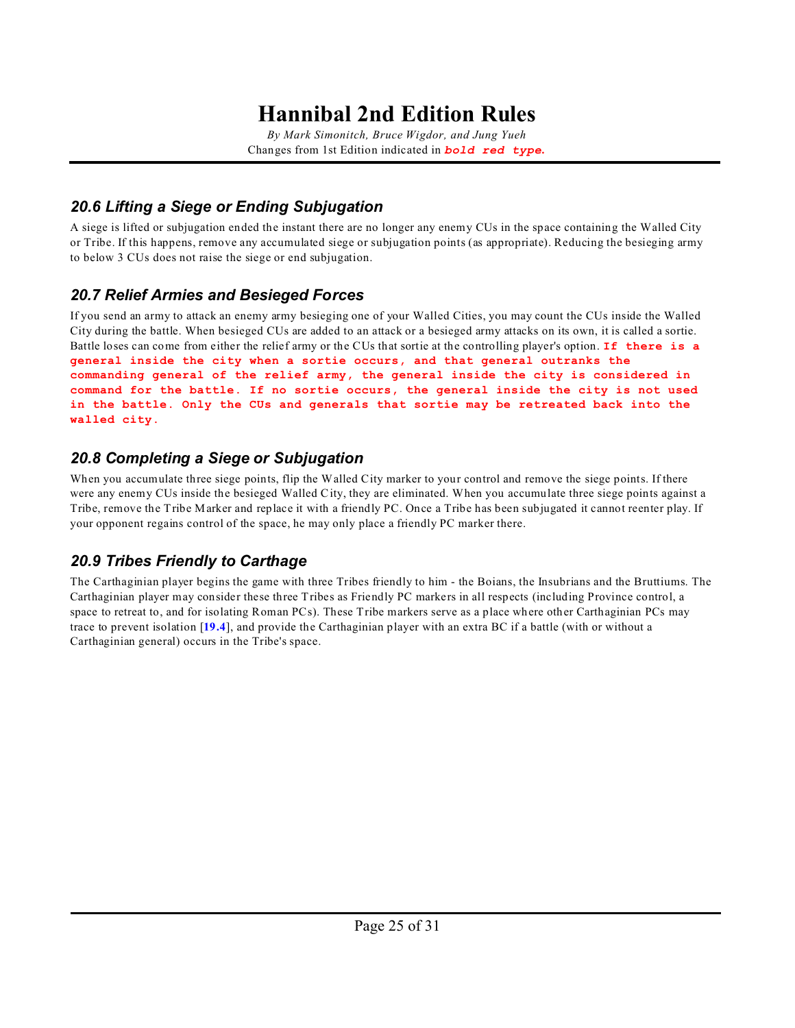*By Mark Simonitch, Bruce Wigdor, and Jung Yueh* Changes from 1st Edition indicated in *bold red type***.**

### *20.6 Lifting a Siege or Ending Subjugation*

A siege is lifted or subjugation ended the instant there are no longer any enemy CUs in the space containing the Walled City or Tribe. If this happens, remove any accumulated siege or subjugation points (as appropriate). Reducing the besieging army to below 3 CUs does not raise the siege or end subjugation.

### <span id="page-24-1"></span>*20.7 Relief Armies and Besieged Forces*

If you send an army to attack an enemy army besieging one of your Walled Cities, you may count the CUs inside the Walled City during the battle. When besieged CUs are added to an attack or a besieged army attacks on its own, it is called a sortie. Battle loses can come from either the relief army or the CUs that sortie at the controlling player's option. **If there is a general inside the city when a sortie occurs, and that general outranks the commanding general of the relief army, the general inside the city is considered in command for the battle. If no sortie occurs, the general inside the city is not used in the battle. Only the CUs and generals that sortie may be retreated back into the walled city.**

### *20.8 Completing a Siege or Subjugation*

When you accumulate three siege points, flip the Walled City marker to your control and remove the siege points. If there were any enemy CUs inside the besieged Walled City, they are eliminated. When you accumulate three siege points against a Tribe, remove the Tribe Marker and replace it with a friendly PC. Once a Tribe has been subjugated it cannot reenter play. If your opponent regains control of the space, he may only place a friendly PC marker there.

### <span id="page-24-0"></span>*20.9 Tribes Friendly to Carthage*

The Carthaginian player begins the game with three Tribes friendly to him - the Boians, the Insubrians and the Bruttiums. The Carthaginian player may consider these three Tribes as Friendly PC markers in all respects (including Province control, a space to retreat to, and for isolating Roman PCs). These Tribe markers serve as a place where other Carthaginian PCs may trace to prevent isolation [**[19.4](#page-22-1)**], and provide the Carthaginian player with an extra BC if a battle (with or without a Carthaginian general) occurs in the Tribe's space.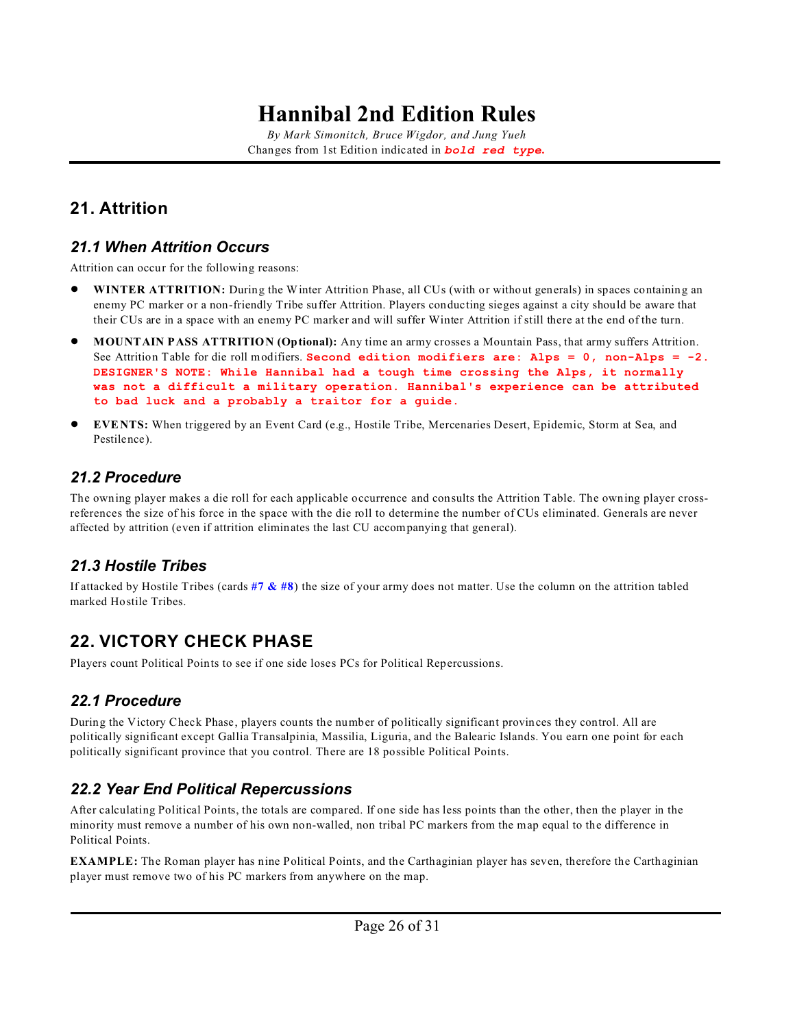*By Mark Simonitch, Bruce Wigdor, and Jung Yueh* Changes from 1st Edition indicated in *bold red type***.**

## <span id="page-25-3"></span>**21. Attrition**

### <span id="page-25-0"></span>*21.1 When Attrition Occurs*

Attrition can occur for the following reasons:

- ! **WINTER ATTRITION:** During the Winter Attrition Phase, all CUs (with or without generals) in spaces containing an enemy PC marker or a non-friendly Tribe suffer Attrition. Players conducting sieges against a city should be aware that their CUs are in a space with an enemy PC marker and will suffer Winter Attrition if still there at the end of the turn.
- ! **MOUNTAIN PASS ATTRITION (Optional):** Any time an army crosses a Mountain Pass, that army suffers Attrition. See Attrition Table for die roll modifiers. **Second edition modifiers are: Alps = 0, non-Alps = -2. DESIGNER'S NOTE: While Hannibal had a tough time crossing the Alps, it normally was not a difficult a military operation. Hannibal's experience can be attributed to bad luck and a probably a traitor for a guide.**
- ! **EVENTS:** When triggered by an Event Card (e.g., Hostile Tribe, Mercenaries Desert, Epidemic, Storm at Sea, and Pestilence).

### *21.2 Procedure*

The owning player makes a die roll for each applicable occurrence and consults the Attrition Table. The owning player crossreferences the size of his force in the space with the die roll to determine the number of CUs eliminated. Generals are never affected by attrition (even if attrition eliminates the last CU accompanying that general).

### *21.3 Hostile Tribes*

If attacked by Hostile Tribes (cards **[#7 & #8](#page-27-2)**) the size of your army does not matter. Use the column on the attrition tabled marked Hostile Tribes.

## **22. VICTORY CHECK PHASE**

Players count Political Points to see if one side loses PCs for Political Repercussions.

### <span id="page-25-1"></span>*22.1 Procedure*

During the Victory Check Phase, players counts the number of politically significant provinces they control. All are politically significant except Gallia Transalpinia, Massilia, Liguria, and the Balearic Islands. You earn one point for each politically significant province that you control. There are 18 possible Political Points.

### <span id="page-25-2"></span>*22.2 Year End Political Repercussions*

After calculating Political Points, the totals are compared. If one side has less points than the other, then the player in the minority must remove a number of his own non-walled, non tribal PC markers from the map equal to the difference in Political Points.

**EXAMPLE:** The Roman player has nine Political Points, and the Carthaginian player has seven, therefore the Carthaginian player must remove two of his PC markers from anywhere on the map.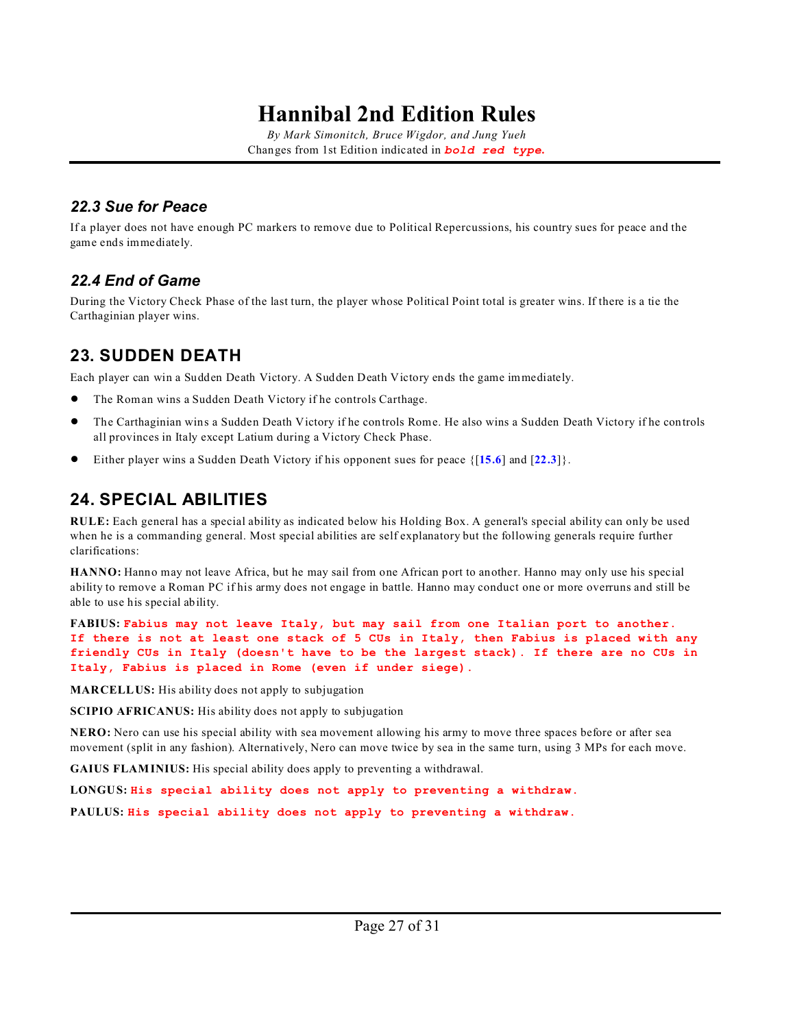*By Mark Simonitch, Bruce Wigdor, and Jung Yueh* Changes from 1st Edition indicated in *bold red type***.**

#### <span id="page-26-2"></span>*22.3 Sue for Peace*

If a player does not have enough PC markers to remove due to Political Repercussions, his country sues for peace and the game ends immediately.

#### *22.4 End of Game*

During the Victory Check Phase of the last turn, the player whose Political Point total is greater wins. If there is a tie the Carthaginian player wins.

### <span id="page-26-0"></span>**23. SUDDEN DEATH**

Each player can win a Sudden Death Victory. A Sudden Death Victory ends the game immediately.

- ! The Roman wins a Sudden Death Victory if he controls Carthage.
- ! The Carthaginian wins a Sudden Death Victory if he controls Rome. He also wins a Sudden Death Victory if he controls all provinces in Italy except Latium during a Victory Check Phase.
- ! Either player wins a Sudden Death Victory if his opponent sues for peace {[**[15.6](#page-19-2)**] and [**[22.3](#page-26-2)**]}.

### <span id="page-26-1"></span>**24. SPECIAL ABILITIES**

**RULE:** Each general has a special ability as indicated below his Holding Box. A general's special ability can only be used when he is a commanding general. Most special abilities are self explanatory but the following generals require further clarifications:

**HANNO:** Hanno may not leave Africa, but he may sail from one African port to another. Hanno may only use his special ability to remove a Roman PC if his army does not engage in battle. Hanno may conduct one or more overruns and still be able to use his special ability.

**FABIUS: Fabius may not leave Italy, but may sail from one Italian port to another. If there is not at least one stack of 5 CUs in Italy, then Fabius is placed with any friendly CUs in Italy (doesn't have to be the largest stack). If there are no CUs in Italy, Fabius is placed in Rome (even if under siege).**

**MARCELLUS:** His ability does not apply to subjugation

**SCIPIO AFRICANUS:** His ability does not apply to subjugation

**NERO:** Nero can use his special ability with sea movement allowing his army to move three spaces before or after sea movement (split in any fashion). Alternatively, Nero can move twice by sea in the same turn, using 3 MPs for each move.

**GAIUS FLAMINIUS:** His special ability does apply to preventing a withdrawal.

**LONGUS: His special ability does not apply to preventing a withdraw.**

**PAULUS: His special ability does not apply to preventing a withdraw.**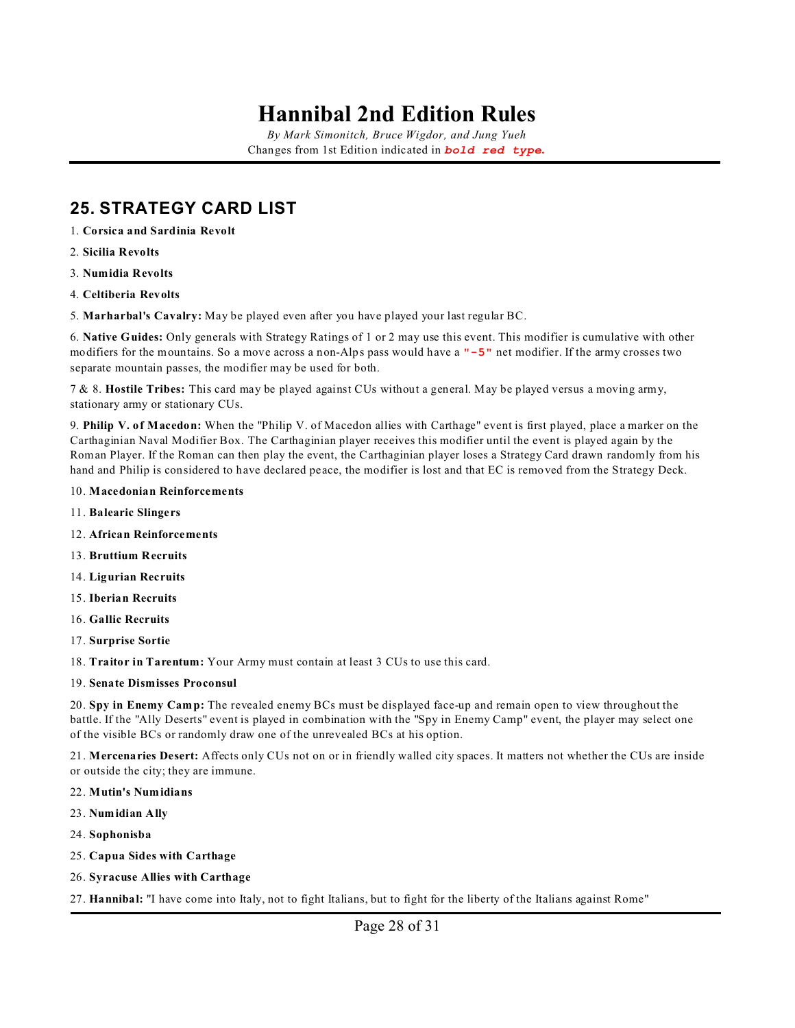*By Mark Simonitch, Bruce Wigdor, and Jung Yueh* Changes from 1st Edition indicated in *bold red type***.**

### <span id="page-27-0"></span>**25. STRATEGY CARD LIST**

- 1. **Corsica and Sardinia Revolt**
- 2. **Sicilia Revolts**
- 3. **Numidia Revolts**
- 4. **Celtiberia Revolts**
- <span id="page-27-1"></span>5. **Marharbal's Cavalry:** May be played even after you have played your last regular BC.

6. **Native Guides:** Only generals with Strategy Ratings of 1 or 2 may use this event. This modifier is cumulative with other modifiers for the mountains. So a move across a non-Alps pass would have a **"-5"** net modifier. If the army crosses two separate mountain passes, the modifier may be used for both.

<span id="page-27-2"></span>7 & 8. **Hostile Tribes:** This card may be played against CUs without a general. May be played versus a moving army, stationary army or stationary CUs.

<span id="page-27-3"></span>9. **Philip V. of Macedon:** When the "Philip V. of Macedon allies with Carthage" event is first played, place a marker on the Carthaginian Naval Modifier Box. The Carthaginian player receives this modifier until the event is played again by the Roman Player. If the Roman can then play the event, the Carthaginian player loses a Strategy Card drawn randomly from his hand and Philip is considered to have declared peace, the modifier is lost and that EC is removed from the Strategy Deck.

- 10. **Macedonian Reinforcements**
- 11. **Balearic Slingers**
- 12. **African Reinforcements**
- 13. **Bruttium Recruits**
- 14. **Ligurian Recruits**
- 15. **Iberian Recruits**
- 16. **Gallic Recruits**
- 17. **Surprise Sortie**
- 18. **Traitor in Tarentum:** Your Army must contain at least 3 CUs to use this card.
- 19. **Senate Dismisses Proconsul**

20. **Spy in Enemy Camp:** The revealed enemy BCs must be displayed face-up and remain open to view throughout the battle. If the "Ally Deserts" event is played in combination with the "Spy in Enemy Camp" event, the player may select one of the visible BCs or randomly draw one of the unrevealed BCs at his option.

21. **Mercenaries Desert:** Affects only CUs not on or in friendly walled city spaces. It matters not whether the CUs are inside or outside the city; they are immune.

- 22. **Mutin's Numidians**
- 23. **Numidian Ally**
- 24. **Sophonisba**
- 25. **Capua Sides with Carthage**
- 26. **Syracuse Allies with Carthage**

27. **Hannibal:** "I have come into Italy, not to fight Italians, but to fight for the liberty of the Italians against Rome"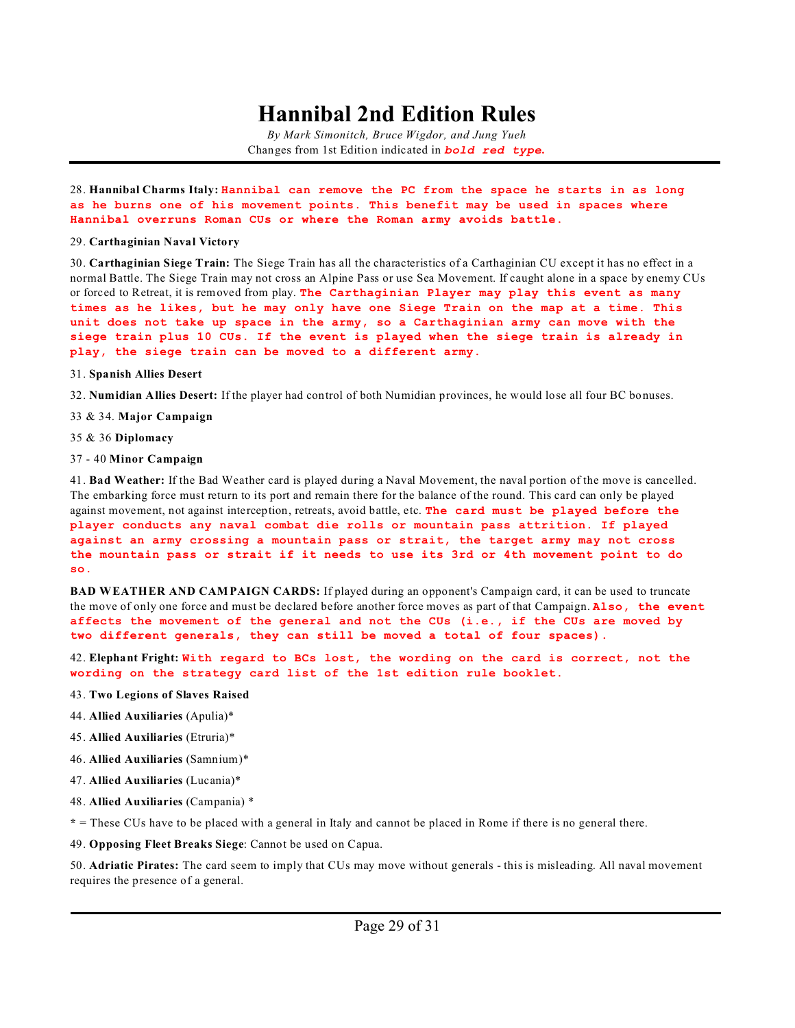*By Mark Simonitch, Bruce Wigdor, and Jung Yueh* Changes from 1st Edition indicated in *bold red type***.**

28. **Hannibal Charms Italy: Hannibal can remove the PC from the space he starts in as long as he burns one of his movement points. This benefit may be used in spaces where Hannibal overruns Roman CUs or where the Roman army avoids battle.**

#### <span id="page-28-0"></span>29. **Carthaginian Naval Victory**

30. **Carthaginian Siege Train:** The Siege Train has all the characteristics of a Carthaginian CU except it has no effect in a normal Battle. The Siege Train may not cross an Alpine Pass or use Sea Movement. If caught alone in a space by enemy CUs or forced to Retreat, it is removed from play. **The Carthaginian Player may play this event as many times as he likes, but he may only have one Siege Train on the map at a time. This unit does not take up space in the army, so a Carthaginian army can move with the siege train plus 10 CUs. If the event is played when the siege train is already in play, the siege train can be moved to a different army.**

#### 31. **Spanish Allies Desert**

32. **Numidian Allies Desert:** If the player had control of both Numidian provinces, he would lose all four BC bonuses.

- 33 & 34. **Major Campaign**
- 35 & 36 **Diplomacy**

#### 37 - 40 **Minor Campaign**

41. **Bad Weather:** If the Bad Weather card is played during a Naval Movement, the naval portion of the move is cancelled. The embarking force must return to its port and remain there for the balance of the round. This card can only be played against movement, not against interception, retreats, avoid battle, etc. **The card must be played before the player conducts any naval combat die rolls or mountain pass attrition. If played against an army crossing a mountain pass or strait, the target army may not cross the mountain pass or strait if it needs to use its 3rd or 4th movement point to do so.**

**BAD WEATHER AND CAMPAIGN CARDS:** If played during an opponent's Campaign card, it can be used to truncate the move of only one force and must be declared before another force moves as part of that Campaign. **Also, the event affects the movement of the general and not the CUs (i.e., if the CUs are moved by two different generals, they can still be moved a total of four spaces).**

<span id="page-28-1"></span>42. **Elephant Fright: With regard to BCs lost, the wording on the card is correct, not the wording on the strategy card list of the 1st edition rule booklet.**

- 43. **Two Legions of Slaves Raised**
- 44. **Allied Auxiliaries** (Apulia)\*
- 45. **Allied Auxiliaries** (Etruria)\*
- 46. **Allied Auxiliaries** (Samnium)\*
- 47. **Allied Auxiliaries** (Lucania)\*
- 48. **Allied Auxiliaries** (Campania) \*

**\*** = These CUs have to be placed with a general in Italy and cannot be placed in Rome if there is no general there.

49. **Opposing Fleet Breaks Siege**: Cannot be used on Capua.

50. **Adriatic Pirates:** The card seem to imply that CUs may move without generals - this is misleading. All naval movement requires the presence of a general.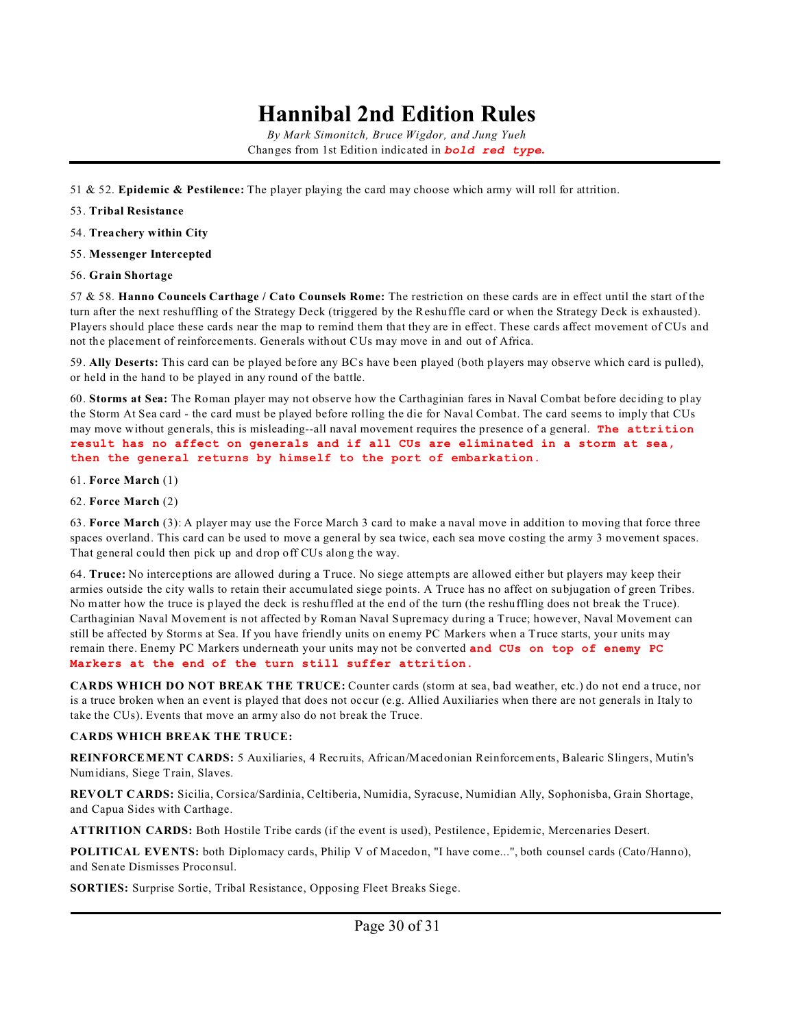*By Mark Simonitch, Bruce Wigdor, and Jung Yueh* Changes from 1st Edition indicated in *bold red type***.**

- 51 & 52. **Epidemic & Pestilence:** The player playing the card may choose which army will roll for attrition.
- 53. **Tribal Resistance**
- 54. **Treachery within City**
- 55. **Messenger Intercepted**
- 56. **Grain Shortage**

57 & 58. **Hanno Councels Carthage / Cato Counsels Rome:** The restriction on these cards are in effect until the start of the turn after the next reshuffling of the Strategy Deck (triggered by the Reshuffle card or when the Strategy Deck is exhausted). Players should place these cards near the map to remind them that they are in effect. These cards affect movement of CUs and not the placement of reinforcements. Generals without CUs may move in and out of Africa.

59. **Ally Deserts:** This card can be played before any BCs have been played (both players may observe which card is pulled), or held in the hand to be played in any round of the battle.

<span id="page-29-0"></span>60. **Storms at Sea:** The Roman player may not observe how the Carthaginian fares in Naval Combat before deciding to play the Storm At Sea card - the card must be played before rolling the die for Naval Combat. The card seems to imply that CUs may move without generals, this is misleading--all naval movement requires the presence of a general. **The attrition result has no affect on generals and if all CUs are eliminated in a storm at sea, then the general returns by himself to the port of embarkation.**

- 61. **Force March** (1)
- 62. **Force March** (2)

63. **Force March** (3): A player may use the Force March 3 card to make a naval move in addition to moving that force three spaces overland. This card can be used to move a general by sea twice, each sea move costing the army 3 movement spaces. That general could then pick up and drop off CUs along the way.

64. **Truce:** No interceptions are allowed during a Truce. No siege attempts are allowed either but players may keep their armies outside the city walls to retain their accumulated siege points. A Truce has no affect on subjugation of green Tribes. No matter how the truce is played the deck is reshuffled at the end of the turn (the reshuffling does not break the Truce). Carthaginian Naval Movement is not affected by Roman Naval Supremacy during a Truce; however, Naval Movement can still be affected by Storms at Sea. If you have friendly units on enemy PC Markers when a Truce starts, your units may remain there. Enemy PC Markers underneath your units may not be converted **and CUs on top of enemy PC Markers at the end of the turn still suffer attrition.**

**CARDS WHICH DO NOT BREAK THE TRUCE:** Counter cards (storm at sea, bad weather, etc.) do not end a truce, nor is a truce broken when an event is played that does not occur (e.g. Allied Auxiliaries when there are not generals in Italy to take the CUs). Events that move an army also do not break the Truce.

#### **CARDS WHICH BREAK THE TRUCE:**

**REINFORCEMENT CARDS:** 5 Auxiliaries, 4 Recruits, African/Macedonian Reinforcements, Balearic Slingers, Mutin's Numidians, Siege Train, Slaves.

**REVOLT CARDS:** Sicilia, Corsica/Sardinia, Celtiberia, Numidia, Syracuse, Numidian Ally, Sophonisba, Grain Shortage, and Capua Sides with Carthage.

**ATTRITION CARDS:** Both Hostile Tribe cards (if the event is used), Pestilence, Epidemic, Mercenaries Desert.

**POLITICAL EVENTS:** both Diplomacy cards, Philip V of Macedon, "I have come...", both counsel cards (Cato/Hanno), and Senate Dismisses Proconsul.

**SORTIES:** Surprise Sortie, Tribal Resistance, Opposing Fleet Breaks Siege.